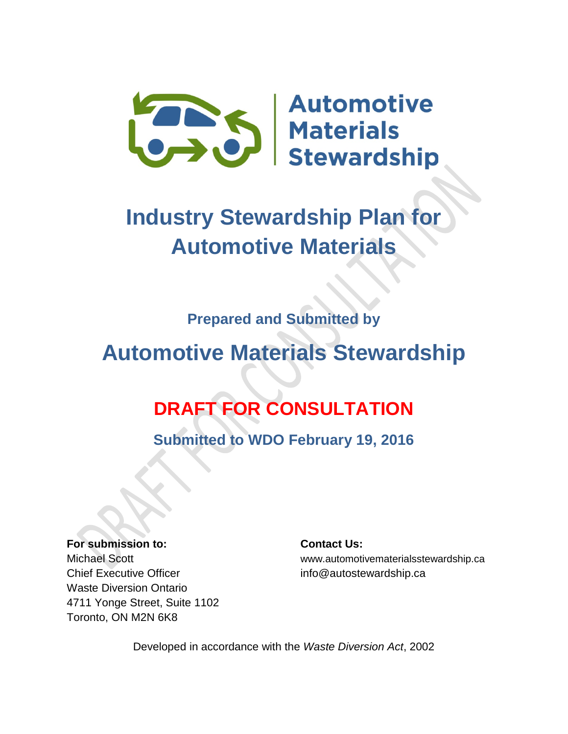

# **Industry Stewardship Plan for Automotive Materials**

### **Prepared and Submitted by**

# **Automotive Materials Stewardship**

## **DRAFT FOR CONSULTATION**

**Submitted to WDO February 19, 2016**

**For submission to: Contact Us:** Chief Executive Officer info@autostewardship.ca Waste Diversion Ontario 4711 Yonge Street, Suite 1102 Toronto, ON M2N 6K8

Michael Scott www.automotivematerialsstewardship.ca

Developed in accordance with the *Waste Diversion Act*, 2002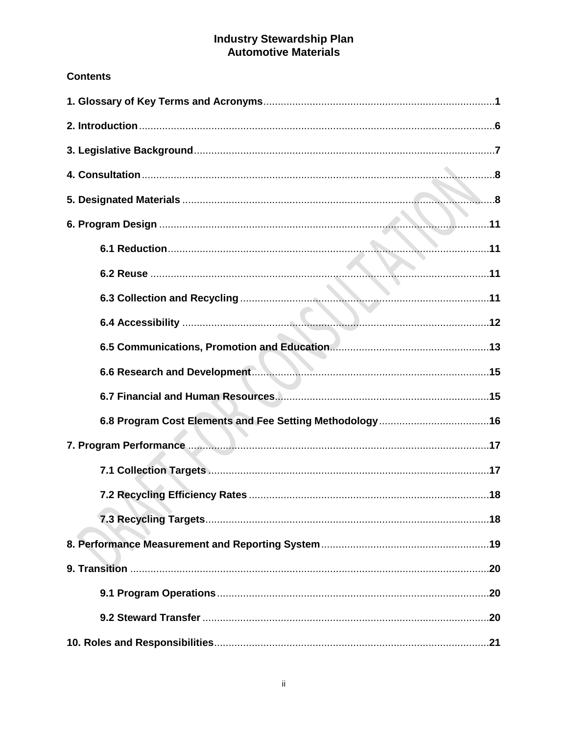# Industry Stewardship Plan<br>Automotive Materials

#### **Contents**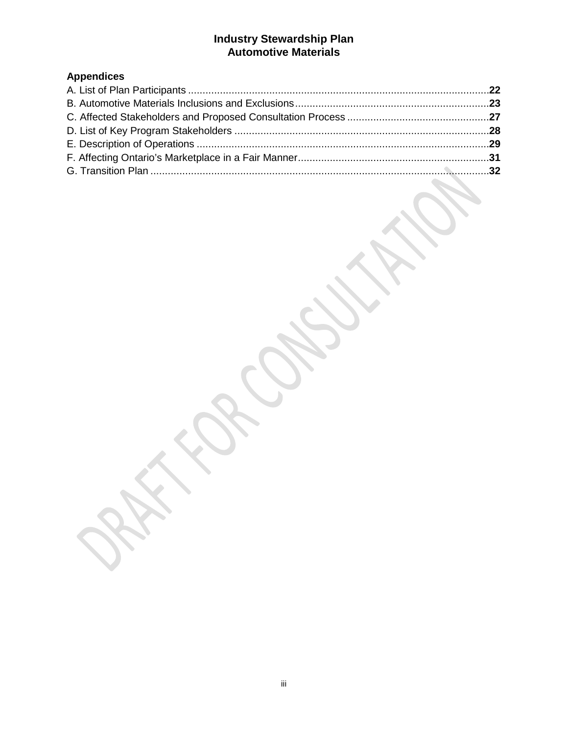#### **Industry Stewardship Plan Automotive Materials**

### **Appendices**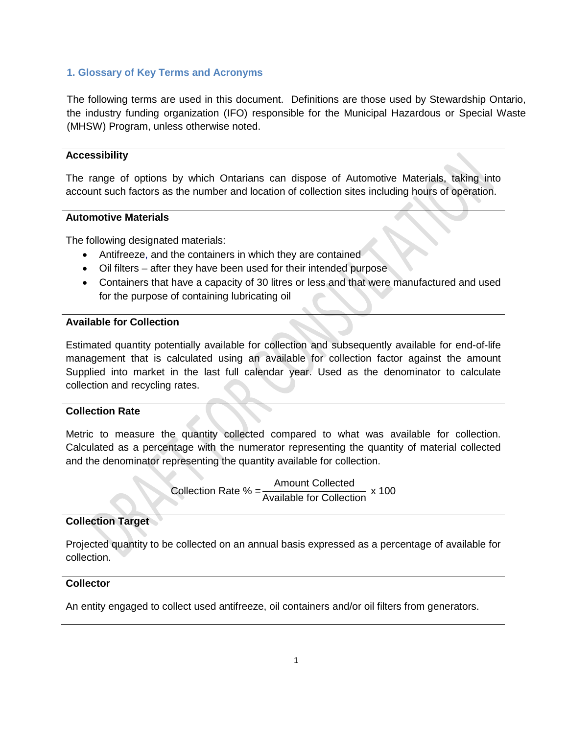#### **1. Glossary of Key Terms and Acronyms**

The following terms are used in this document. Definitions are those used by Stewardship Ontario, the industry funding organization (IFO) responsible for the Municipal Hazardous or Special Waste (MHSW) Program, unless otherwise noted.

#### **Accessibility**

The range of options by which Ontarians can dispose of Automotive Materials, taking into account such factors as the number and location of collection sites including hours of operation.

#### **Automotive Materials**

The following designated materials:

- Antifreeze, and the containers in which they are contained
- Oil filters after they have been used for their intended purpose
- Containers that have a capacity of 30 litres or less and that were manufactured and used for the purpose of containing lubricating oil

#### **Available for Collection**

Estimated quantity potentially available for collection and subsequently available for end-of-life management that is calculated using an available for collection factor against the amount Supplied into market in the last full calendar year. Used as the denominator to calculate collection and recycling rates.

#### **Collection Rate**

Metric to measure the quantity collected compared to what was available for collection. Calculated as a percentage with the numerator representing the quantity of material collected and the denominator representing the quantity available for collection.

> Collection Rate % = Amount Collected Available for Collection x 100

#### **Collection Target**

Projected quantity to be collected on an annual basis expressed as a percentage of available for collection.

#### **Collector**

An entity engaged to collect used antifreeze, oil containers and/or oil filters from generators.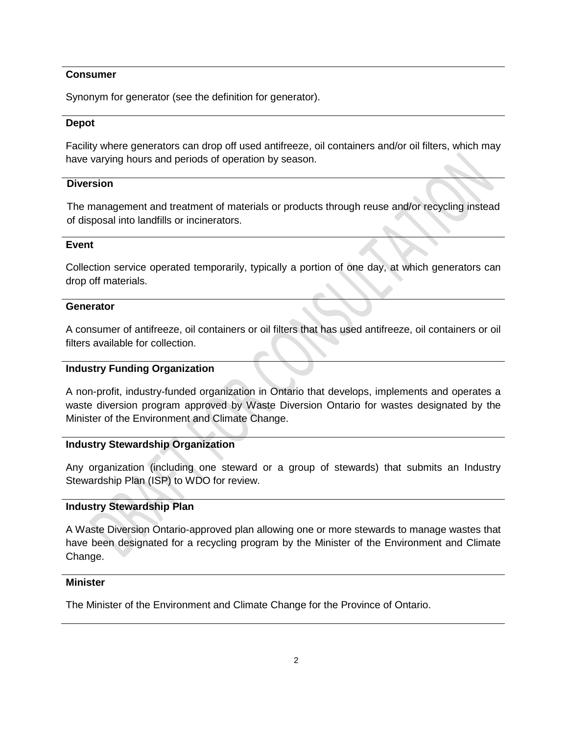#### **Consumer**

Synonym for generator (see the definition for generator).

#### **Depot**

Facility where generators can drop off used antifreeze, oil containers and/or oil filters, which may have varying hours and periods of operation by season.

#### **Diversion**

The management and treatment of materials or products through reuse and/or recycling instead of disposal into landfills or incinerators.

#### **Event**

Collection service operated temporarily, typically a portion of one day, at which generators can drop off materials.

#### **Generator**

A consumer of antifreeze, oil containers or oil filters that has used antifreeze, oil containers or oil filters available for collection.

#### **Industry Funding Organization**

A non-profit, industry-funded organization in Ontario that develops, implements and operates a waste diversion program approved by Waste Diversion Ontario for wastes designated by the Minister of the Environment and Climate Change.

#### **Industry Stewardship Organization**

Any organization (including one steward or a group of stewards) that submits an Industry Stewardship Plan (ISP) to WDO for review.

#### **Industry Stewardship Plan**

A Waste Diversion Ontario-approved plan allowing one or more stewards to manage wastes that have been designated for a recycling program by the Minister of the Environment and Climate Change.

#### **Minister**

The Minister of the Environment and Climate Change for the Province of Ontario.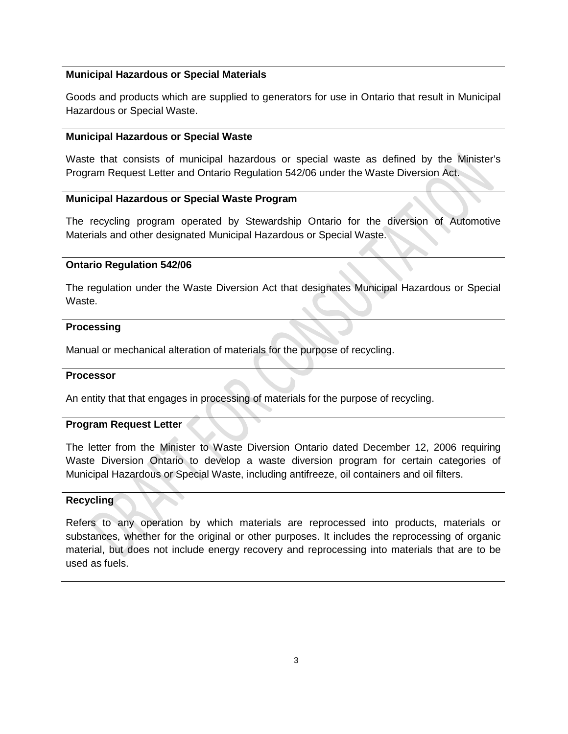#### **Municipal Hazardous or Special Materials**

Goods and products which are supplied to generators for use in Ontario that result in Municipal Hazardous or Special Waste.

#### **Municipal Hazardous or Special Waste**

Waste that consists of municipal hazardous or special waste as defined by the Minister's Program Request Letter and Ontario Regulation 542/06 under the Waste Diversion Act.

#### **Municipal Hazardous or Special Waste Program**

The recycling program operated by Stewardship Ontario for the diversion of Automotive Materials and other designated Municipal Hazardous or Special Waste.

#### **Ontario Regulation 542/06**

The regulation under the Waste Diversion Act that designates Municipal Hazardous or Special Waste.

#### **Processing**

Manual or mechanical alteration of materials for the purpose of recycling.

#### **Processor**

An entity that that engages in processing of materials for the purpose of recycling.

#### **Program Request Letter**

The letter from the Minister to Waste Diversion Ontario dated December 12, 2006 requiring Waste Diversion Ontario to develop a waste diversion program for certain categories of Municipal Hazardous or Special Waste, including antifreeze, oil containers and oil filters.

#### **Recycling**

Refers to any operation by which materials are reprocessed into products, materials or substances, whether for the original or other purposes. It includes the reprocessing of organic material, but does not include energy recovery and reprocessing into materials that are to be used as fuels.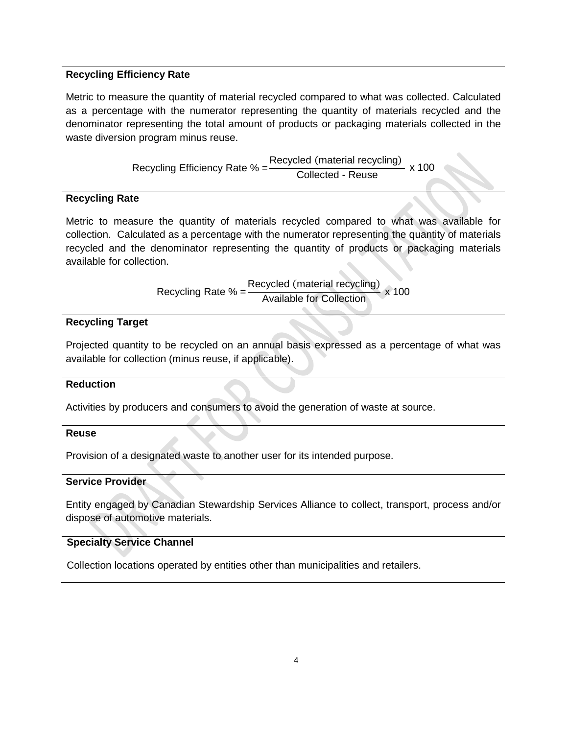#### **Recycling Efficiency Rate**

Metric to measure the quantity of material recycled compared to what was collected. Calculated as a percentage with the numerator representing the quantity of materials recycled and the denominator representing the total amount of products or packaging materials collected in the waste diversion program minus reuse.

Recycling Efficiency Rate % =  $\frac{\text{Recycled (material recycling)}}{\text{Collected - Reuse}}$  x 100

#### **Recycling Rate**

Metric to measure the quantity of materials recycled compared to what was available for collection. Calculated as a percentage with the numerator representing the quantity of materials recycled and the denominator representing the quantity of products or packaging materials available for collection.

Recycling Rate  $% = \frac{\text{Recycled (material recycling)}}{\text{Available for Collection}} \times 100$ 

#### **Recycling Target**

Projected quantity to be recycled on an annual basis expressed as a percentage of what was available for collection (minus reuse, if applicable).

#### **Reduction**

Activities by producers and consumers to avoid the generation of waste at source.

#### **Reuse**

Provision of a designated waste to another user for its intended purpose.

#### **Service Provider**

Entity engaged by Canadian Stewardship Services Alliance to collect, transport, process and/or dispose of automotive materials.

#### **Specialty Service Channel**

Collection locations operated by entities other than municipalities and retailers.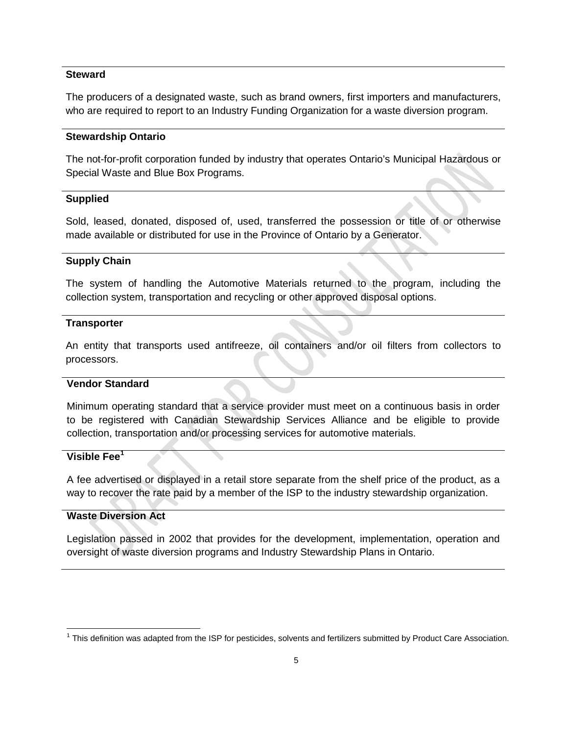#### **Steward**

The producers of a designated waste, such as brand owners, first importers and manufacturers, who are required to report to an Industry Funding Organization for a waste diversion program.

#### **Stewardship Ontario**

The not-for-profit corporation funded by industry that operates Ontario's Municipal Hazardous or Special Waste and Blue Box Programs.

#### **Supplied**

Sold, leased, donated, disposed of, used, transferred the possession or title of or otherwise made available or distributed for use in the Province of Ontario by a Generator.

#### **Supply Chain**

The system of handling the Automotive Materials returned to the program, including the collection system, transportation and recycling or other approved disposal options.

#### **Transporter**

An entity that transports used antifreeze, oil containers and/or oil filters from collectors to processors.

#### **Vendor Standard**

Minimum operating standard that a service provider must meet on a continuous basis in order to be registered with Canadian Stewardship Services Alliance and be eligible to provide collection, transportation and/or processing services for automotive materials.

#### **Visible Fee[1](#page-7-0)**

A fee advertised or displayed in a retail store separate from the shelf price of the product, as a way to recover the rate paid by a member of the ISP to the industry stewardship organization.

#### **Waste Diversion Act**

Legislation passed in 2002 that provides for the development, implementation, operation and oversight of waste diversion programs and Industry Stewardship Plans in Ontario.

<span id="page-7-0"></span><sup>&</sup>lt;sup>1</sup> This definition was adapted from the ISP for pesticides, solvents and fertilizers submitted by Product Care Association.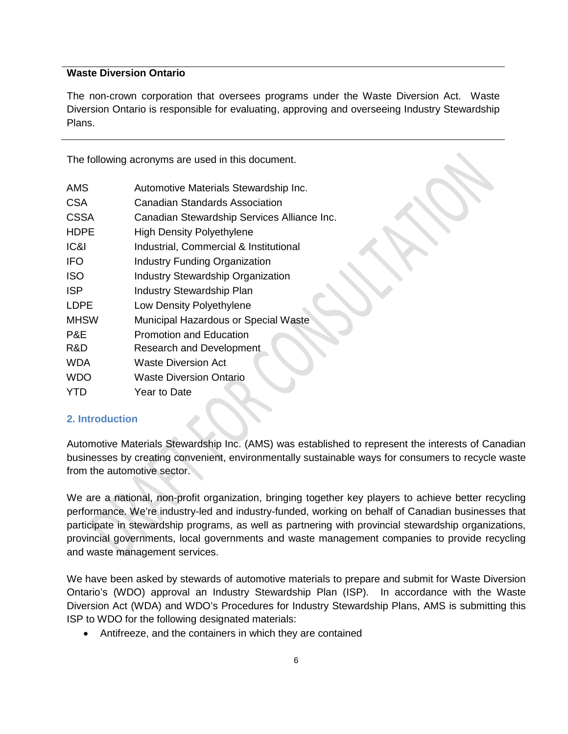#### **Waste Diversion Ontario**

The non-crown corporation that oversees programs under the Waste Diversion Act. Waste Diversion Ontario is responsible for evaluating, approving and overseeing Industry Stewardship Plans.

The following acronyms are used in this document.

| <b>AMS</b>  | Automotive Materials Stewardship Inc.       |
|-------------|---------------------------------------------|
| <b>CSA</b>  | Canadian Standards Association              |
| CSSA        | Canadian Stewardship Services Alliance Inc. |
| <b>HDPE</b> | <b>High Density Polyethylene</b>            |
| IC&I        | Industrial, Commercial & Institutional      |
| <b>IFO</b>  | <b>Industry Funding Organization</b>        |
| <b>ISO</b>  | <b>Industry Stewardship Organization</b>    |
| <b>ISP</b>  | <b>Industry Stewardship Plan</b>            |
| <b>LDPE</b> | Low Density Polyethylene                    |
| <b>MHSW</b> | Municipal Hazardous or Special Waste        |
| P&E         | <b>Promotion and Education</b>              |
| R&D         | <b>Research and Development</b>             |
| <b>WDA</b>  | Waste Diversion Act                         |
| <b>WDO</b>  | Waste Diversion Ontario                     |
| YTD         | Year to Date                                |
|             |                                             |

#### **2. Introduction**

Automotive Materials Stewardship Inc. (AMS) was established to represent the interests of Canadian businesses by creating convenient, environmentally sustainable ways for consumers to recycle waste from the automotive sector.

We are a national, non-profit organization, bringing together key players to achieve better recycling performance. We're industry-led and industry-funded, working on behalf of Canadian businesses that participate in stewardship programs, as well as partnering with provincial stewardship organizations, provincial governments, local governments and waste management companies to provide recycling and waste management services.

We have been asked by stewards of automotive materials to prepare and submit for Waste Diversion Ontario's (WDO) approval an Industry Stewardship Plan (ISP). In accordance with the Waste Diversion Act (WDA) and WDO's Procedures for Industry Stewardship Plans, AMS is submitting this ISP to WDO for the following designated materials:

• Antifreeze, and the containers in which they are contained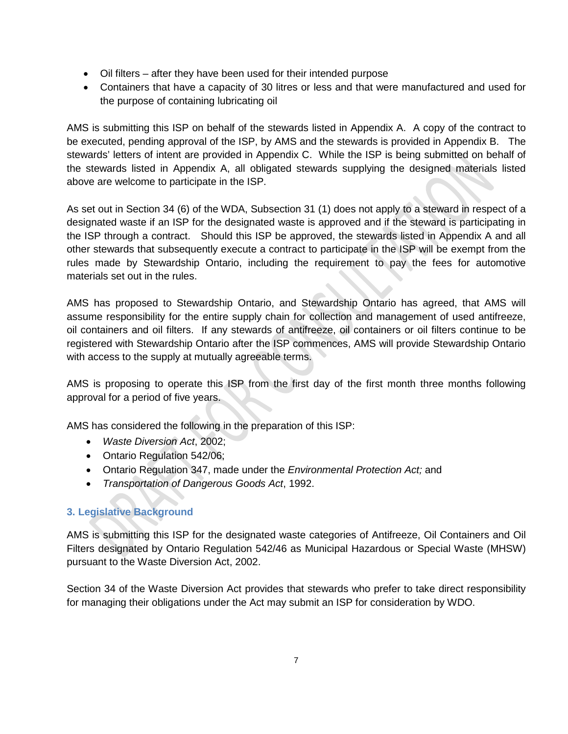- Oil filters after they have been used for their intended purpose
- Containers that have a capacity of 30 litres or less and that were manufactured and used for the purpose of containing lubricating oil

AMS is submitting this ISP on behalf of the stewards listed in Appendix A. A copy of the contract to be executed, pending approval of the ISP, by AMS and the stewards is provided in Appendix B. The stewards' letters of intent are provided in Appendix C. While the ISP is being submitted on behalf of the stewards listed in Appendix A, all obligated stewards supplying the designed materials listed above are welcome to participate in the ISP.

As set out in Section 34 (6) of the WDA, Subsection 31 (1) does not apply to a steward in respect of a designated waste if an ISP for the designated waste is approved and if the steward is participating in the ISP through a contract. Should this ISP be approved, the stewards listed in Appendix A and all other stewards that subsequently execute a contract to participate in the ISP will be exempt from the rules made by Stewardship Ontario, including the requirement to pay the fees for automotive materials set out in the rules.

AMS has proposed to Stewardship Ontario, and Stewardship Ontario has agreed, that AMS will assume responsibility for the entire supply chain for collection and management of used antifreeze, oil containers and oil filters. If any stewards of antifreeze, oil containers or oil filters continue to be registered with Stewardship Ontario after the ISP commences, AMS will provide Stewardship Ontario with access to the supply at mutually agreeable terms.

AMS is proposing to operate this ISP from the first day of the first month three months following approval for a period of five years.

AMS has considered the following in the preparation of this ISP:

- *Waste Diversion Act*, 2002;
- Ontario Regulation 542/06;
- Ontario Regulation 347, made under the *Environmental Protection Act;* and
- *Transportation of Dangerous Goods Act*, 1992.

#### **3. Legislative Background**

AMS is submitting this ISP for the designated waste categories of Antifreeze, Oil Containers and Oil Filters designated by Ontario Regulation 542/46 as Municipal Hazardous or Special Waste (MHSW) pursuant to the Waste Diversion Act, 2002.

Section 34 of the Waste Diversion Act provides that stewards who prefer to take direct responsibility for managing their obligations under the Act may submit an ISP for consideration by WDO.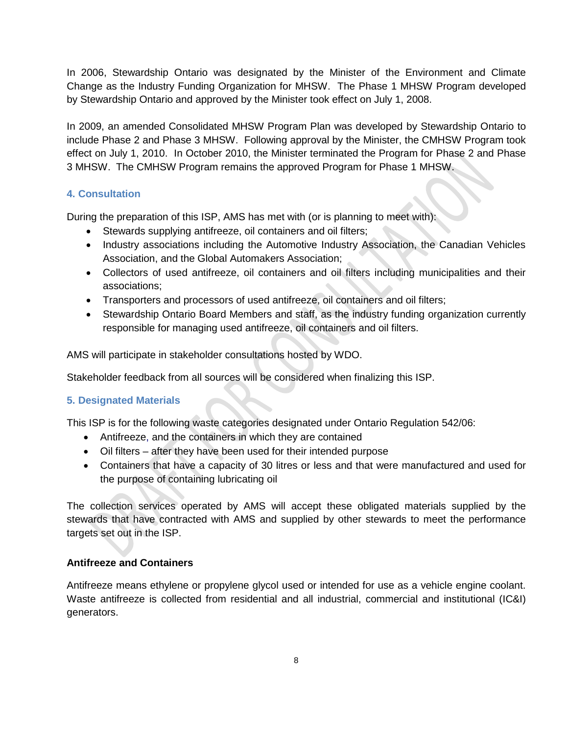In 2006, Stewardship Ontario was designated by the Minister of the Environment and Climate Change as the Industry Funding Organization for MHSW. The Phase 1 MHSW Program developed by Stewardship Ontario and approved by the Minister took effect on July 1, 2008.

In 2009, an amended Consolidated MHSW Program Plan was developed by Stewardship Ontario to include Phase 2 and Phase 3 MHSW. Following approval by the Minister, the CMHSW Program took effect on July 1, 2010. In October 2010, the Minister terminated the Program for Phase 2 and Phase 3 MHSW. The CMHSW Program remains the approved Program for Phase 1 MHSW.

#### **4. Consultation**

During the preparation of this ISP, AMS has met with (or is planning to meet with):

- Stewards supplying antifreeze, oil containers and oil filters;
- Industry associations including the Automotive Industry Association, the Canadian Vehicles Association, and the Global Automakers Association;
- Collectors of used antifreeze, oil containers and oil filters including municipalities and their associations;
- Transporters and processors of used antifreeze, oil containers and oil filters;
- Stewardship Ontario Board Members and staff, as the industry funding organization currently responsible for managing used antifreeze, oil containers and oil filters.

AMS will participate in stakeholder consultations hosted by WDO.

Stakeholder feedback from all sources will be considered when finalizing this ISP.

#### **5. Designated Materials**

This ISP is for the following waste categories designated under Ontario Regulation 542/06:

- Antifreeze, and the containers in which they are contained
- Oil filters after they have been used for their intended purpose
- Containers that have a capacity of 30 litres or less and that were manufactured and used for the purpose of containing lubricating oil

The collection services operated by AMS will accept these obligated materials supplied by the stewards that have contracted with AMS and supplied by other stewards to meet the performance targets set out in the ISP.

#### **Antifreeze and Containers**

Antifreeze means ethylene or propylene glycol used or intended for use as a vehicle engine coolant. Waste antifreeze is collected from residential and all industrial, commercial and institutional (IC&I) generators.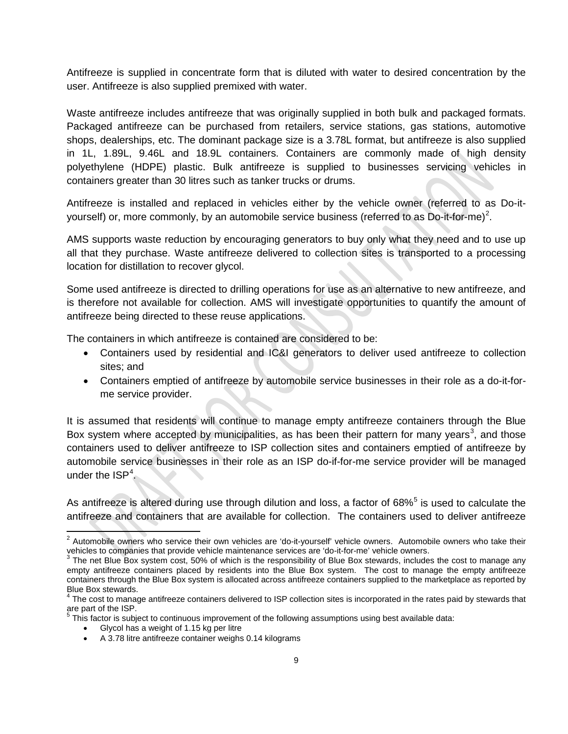Antifreeze is supplied in concentrate form that is diluted with water to desired concentration by the user. Antifreeze is also supplied premixed with water.

Waste antifreeze includes antifreeze that was originally supplied in both bulk and packaged formats. Packaged antifreeze can be purchased from retailers, service stations, gas stations, automotive shops, dealerships, etc. The dominant package size is a 3.78L format, but antifreeze is also supplied in 1L, 1.89L, 9.46L and 18.9L containers. Containers are commonly made of high density polyethylene (HDPE) plastic. Bulk antifreeze is supplied to businesses servicing vehicles in containers greater than 30 litres such as tanker trucks or drums.

Antifreeze is installed and replaced in vehicles either by the vehicle owner (referred to as Do-it-yourself) or, more commonly, by an automobile service business (referred to as Do-it-for-me)<sup>[2](#page-11-0)</sup>.

AMS supports waste reduction by encouraging generators to buy only what they need and to use up all that they purchase. Waste antifreeze delivered to collection sites is transported to a processing location for distillation to recover glycol.

Some used antifreeze is directed to drilling operations for use as an alternative to new antifreeze, and is therefore not available for collection. AMS will investigate opportunities to quantify the amount of antifreeze being directed to these reuse applications.

The containers in which antifreeze is contained are considered to be:

- Containers used by residential and IC&I generators to deliver used antifreeze to collection sites; and
- Containers emptied of antifreeze by automobile service businesses in their role as a do-it-forme service provider.

It is assumed that residents will continue to manage empty antifreeze containers through the Blue Box system where accepted by municipalities, as has been their pattern for many years<sup>[3](#page-11-1)</sup>, and those containers used to deliver antifreeze to ISP collection sites and containers emptied of antifreeze by automobile service businesses in their role as an ISP do-if-for-me service provider will be managed under the  $ISP<sup>4</sup>$  $ISP<sup>4</sup>$  $ISP<sup>4</sup>$ .

As antifreeze is altered during use through dilution and loss, a factor of 68%<sup>[5](#page-11-3)</sup> is used to calculate the antifreeze and containers that are available for collection. The containers used to deliver antifreeze

This factor is subject to continuous improvement of the following assumptions using best available data:

• Glycol has a weight of 1.15 kg per litre

<span id="page-11-0"></span> $2$  Automobile owners who service their own vehicles are 'do-it-yourself' vehicle owners. Automobile owners who take their vehicles to companies that provide vehicle maintenance services are 'do-it-for-me' vehicle owners.

<span id="page-11-1"></span> $3$  The net Blue Box system cost, 50% of which is the responsibility of Blue Box stewards, includes the cost to manage any empty antifreeze containers placed by residents into the Blue Box system. The cost to manage the empty antifreeze containers through the Blue Box system is allocated across antifreeze containers supplied to the marketplace as reported by Blue Box stewards.

<span id="page-11-3"></span><span id="page-11-2"></span> $4$  The cost to manage antifreeze containers delivered to ISP collection sites is incorporated in the rates paid by stewards that are part of the ISP.

<sup>•</sup> A 3.78 litre antifreeze container weighs 0.14 kilograms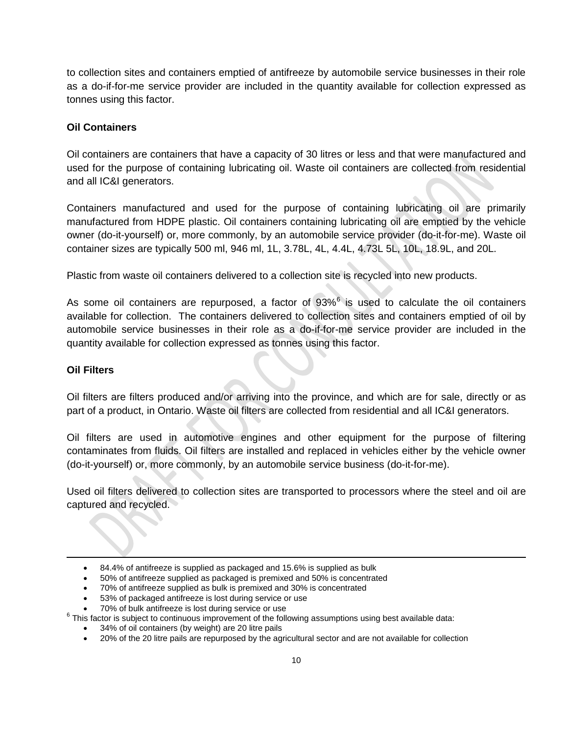to collection sites and containers emptied of antifreeze by automobile service businesses in their role as a do-if-for-me service provider are included in the quantity available for collection expressed as tonnes using this factor.

#### **Oil Containers**

Oil containers are containers that have a capacity of 30 litres or less and that were manufactured and used for the purpose of containing lubricating oil. Waste oil containers are collected from residential and all IC&I generators.

Containers manufactured and used for the purpose of containing lubricating oil are primarily manufactured from HDPE plastic. Oil containers containing lubricating oil are emptied by the vehicle owner (do-it-yourself) or, more commonly, by an automobile service provider (do-it-for-me). Waste oil container sizes are typically 500 ml, 946 ml, 1L, 3.78L, 4L, 4.4L, 4.73L 5L, 10L, 18.9L, and 20L.

Plastic from waste oil containers delivered to a collection site is recycled into new products.

As some oil containers are repurposed, a factor of  $93\%$ <sup>[6](#page-12-0)</sup> is used to calculate the oil containers available for collection. The containers delivered to collection sites and containers emptied of oil by automobile service businesses in their role as a do-if-for-me service provider are included in the quantity available for collection expressed as tonnes using this factor.

#### **Oil Filters**

l

Oil filters are filters produced and/or arriving into the province, and which are for sale, directly or as part of a product, in Ontario. Waste oil filters are collected from residential and all IC&I generators.

Oil filters are used in automotive engines and other equipment for the purpose of filtering contaminates from fluids. Oil filters are installed and replaced in vehicles either by the vehicle owner (do-it-yourself) or, more commonly, by an automobile service business (do-it-for-me).

Used oil filters delivered to collection sites are transported to processors where the steel and oil are captured and recycled.

- 70% of antifreeze supplied as bulk is premixed and 30% is concentrated
- 53% of packaged antifreeze is lost during service or use<br>• 70% of bulk antifreeze is lost during service or use
- 

<span id="page-12-0"></span> $6$  This factor is subject to continuous improvement of the following assumptions using best available data:

- 34% of oil containers (by weight) are 20 litre pails
- 20% of the 20 litre pails are repurposed by the agricultural sector and are not available for collection

<sup>•</sup> 84.4% of antifreeze is supplied as packaged and 15.6% is supplied as bulk

<sup>•</sup> 50% of antifreeze supplied as packaged is premixed and 50% is concentrated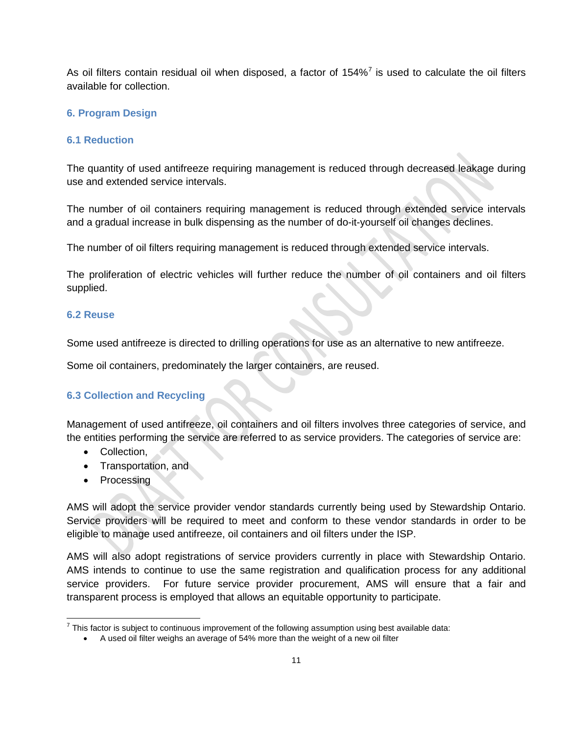As oil filters contain residual oil when disposed, a factor of  $154\%$ <sup>[7](#page-13-0)</sup> is used to calculate the oil filters available for collection.

#### **6. Program Design**

#### **6.1 Reduction**

The quantity of used antifreeze requiring management is reduced through decreased leakage during use and extended service intervals.

The number of oil containers requiring management is reduced through extended service intervals and a gradual increase in bulk dispensing as the number of do-it-yourself oil changes declines.

The number of oil filters requiring management is reduced through extended service intervals.

The proliferation of electric vehicles will further reduce the number of oil containers and oil filters supplied.

#### **6.2 Reuse**

Some used antifreeze is directed to drilling operations for use as an alternative to new antifreeze.

Some oil containers, predominately the larger containers, are reused.

#### **6.3 Collection and Recycling**

Management of used antifreeze, oil containers and oil filters involves three categories of service, and the entities performing the service are referred to as service providers. The categories of service are:

- Collection,
- Transportation, and
- Processing

AMS will adopt the service provider vendor standards currently being used by Stewardship Ontario. Service providers will be required to meet and conform to these vendor standards in order to be eligible to manage used antifreeze, oil containers and oil filters under the ISP.

AMS will also adopt registrations of service providers currently in place with Stewardship Ontario. AMS intends to continue to use the same registration and qualification process for any additional service providers. For future service provider procurement, AMS will ensure that a fair and transparent process is employed that allows an equitable opportunity to participate.

<span id="page-13-0"></span> $7$  This factor is subject to continuous improvement of the following assumption using best available data:

<sup>•</sup> A used oil filter weighs an average of 54% more than the weight of a new oil filter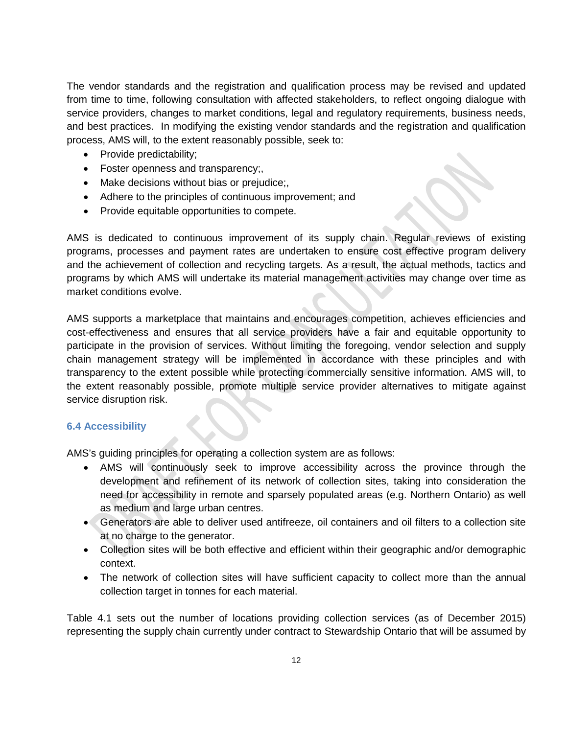The vendor standards and the registration and qualification process may be revised and updated from time to time, following consultation with affected stakeholders, to reflect ongoing dialogue with service providers, changes to market conditions, legal and regulatory requirements, business needs, and best practices. In modifying the existing vendor standards and the registration and qualification process, AMS will, to the extent reasonably possible, seek to:

- Provide predictability;
- Foster openness and transparency;,
- Make decisions without bias or prejudice;,
- Adhere to the principles of continuous improvement; and
- Provide equitable opportunities to compete.

AMS is dedicated to continuous improvement of its supply chain. Regular reviews of existing programs, processes and payment rates are undertaken to ensure cost effective program delivery and the achievement of collection and recycling targets. As a result, the actual methods, tactics and programs by which AMS will undertake its material management activities may change over time as market conditions evolve.

AMS supports a marketplace that maintains and encourages competition, achieves efficiencies and cost-effectiveness and ensures that all service providers have a fair and equitable opportunity to participate in the provision of services. Without limiting the foregoing, vendor selection and supply chain management strategy will be implemented in accordance with these principles and with transparency to the extent possible while protecting commercially sensitive information. AMS will, to the extent reasonably possible, promote multiple service provider alternatives to mitigate against service disruption risk.

#### **6.4 Accessibility**

AMS's guiding principles for operating a collection system are as follows:

- AMS will continuously seek to improve accessibility across the province through the development and refinement of its network of collection sites, taking into consideration the need for accessibility in remote and sparsely populated areas (e.g. Northern Ontario) as well as medium and large urban centres.
- Generators are able to deliver used antifreeze, oil containers and oil filters to a collection site at no charge to the generator.
- Collection sites will be both effective and efficient within their geographic and/or demographic context.
- The network of collection sites will have sufficient capacity to collect more than the annual collection target in tonnes for each material.

Table 4.1 sets out the number of locations providing collection services (as of December 2015) representing the supply chain currently under contract to Stewardship Ontario that will be assumed by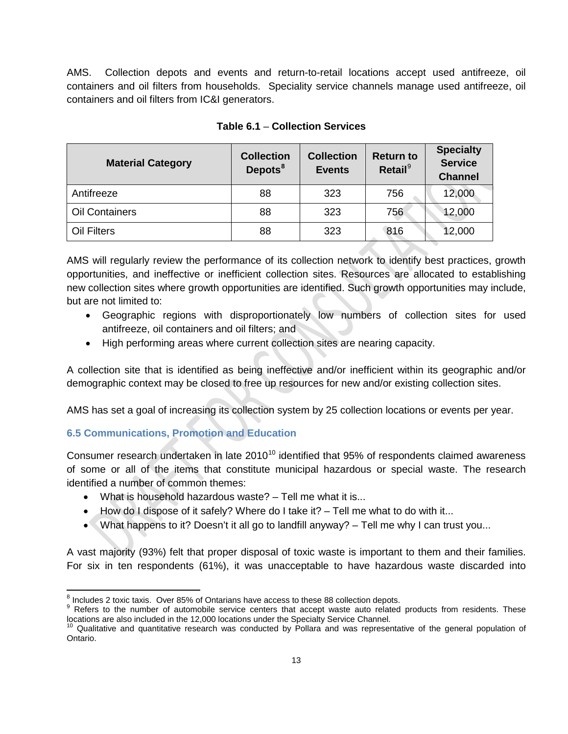AMS. Collection depots and events and return-to-retail locations accept used antifreeze, oil containers and oil filters from households. Speciality service channels manage used antifreeze, oil containers and oil filters from IC&I generators.

| <b>Material Category</b> | <b>Collection</b><br>Depots <sup>8</sup> | <b>Collection</b><br><b>Events</b> | <b>Return to</b><br>Retail <sup>9</sup> | <b>Specialty</b><br><b>Service</b><br><b>Channel</b> |
|--------------------------|------------------------------------------|------------------------------------|-----------------------------------------|------------------------------------------------------|
| Antifreeze               | 88                                       | 323                                | 756                                     | 12,000                                               |
| <b>Oil Containers</b>    | 88                                       | 323                                | 756                                     | 12,000                                               |
| Oil Filters              | 88                                       | 323                                | 816                                     | 12,000                                               |

#### **Table 6.1** – **Collection Services**

AMS will regularly review the performance of its collection network to identify best practices, growth opportunities, and ineffective or inefficient collection sites. Resources are allocated to establishing new collection sites where growth opportunities are identified. Such growth opportunities may include, but are not limited to:

- Geographic regions with disproportionately low numbers of collection sites for used antifreeze, oil containers and oil filters; and
- High performing areas where current collection sites are nearing capacity.

A collection site that is identified as being ineffective and/or inefficient within its geographic and/or demographic context may be closed to free up resources for new and/or existing collection sites.

AMS has set a goal of increasing its collection system by 25 collection locations or events per year.

#### **6.5 Communications, Promotion and Education**

Consumer research undertaken in late 20[10](#page-15-2)<sup>10</sup> identified that 95% of respondents claimed awareness of some or all of the items that constitute municipal hazardous or special waste. The research identified a number of common themes:

- What is household hazardous waste? Tell me what it is...
- How do I dispose of it safely? Where do I take it? Tell me what to do with it...
- What happens to it? Doesn't it all go to landfill anyway?  $-$  Tell me why I can trust you...

A vast majority (93%) felt that proper disposal of toxic waste is important to them and their families. For six in ten respondents (61%), it was unacceptable to have hazardous waste discarded into

<span id="page-15-1"></span><span id="page-15-0"></span> $\frac{8}{9}$  Includes 2 toxic taxis. Over 85% of Ontarians have access to these 88 collection depots.<br> $\frac{9}{9}$  Refers to the number of automobile service centers that accept waste auto related products from residents. These

<span id="page-15-2"></span> $10$  Qualitative and quantitative research was conducted by Pollara and was representative of the general population of Ontario.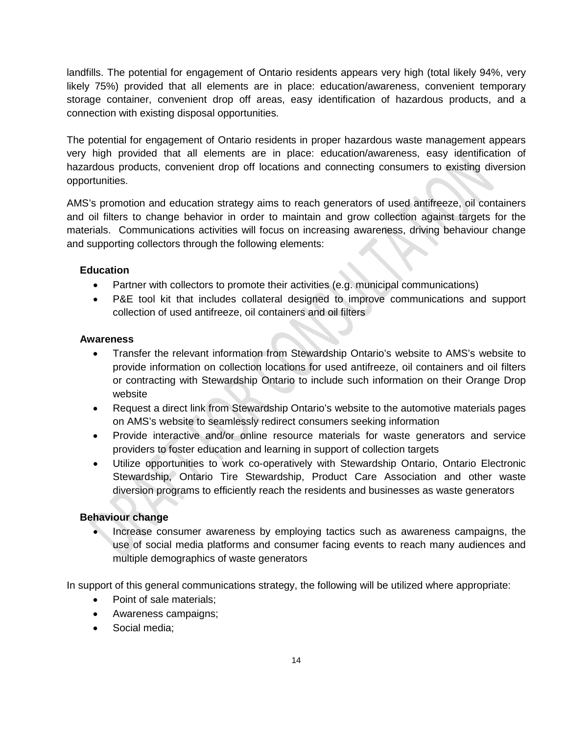landfills. The potential for engagement of Ontario residents appears very high (total likely 94%, very likely 75%) provided that all elements are in place: education/awareness, convenient temporary storage container, convenient drop off areas, easy identification of hazardous products, and a connection with existing disposal opportunities.

The potential for engagement of Ontario residents in proper hazardous waste management appears very high provided that all elements are in place: education/awareness, easy identification of hazardous products, convenient drop off locations and connecting consumers to existing diversion opportunities.

AMS's promotion and education strategy aims to reach generators of used antifreeze, oil containers and oil filters to change behavior in order to maintain and grow collection against targets for the materials. Communications activities will focus on increasing awareness, driving behaviour change and supporting collectors through the following elements:

#### **Education**

- Partner with collectors to promote their activities (e.g. municipal communications)
- P&E tool kit that includes collateral designed to improve communications and support collection of used antifreeze, oil containers and oil filters

#### **Awareness**

- Transfer the relevant information from Stewardship Ontario's website to AMS's website to provide information on collection locations for used antifreeze, oil containers and oil filters or contracting with Stewardship Ontario to include such information on their Orange Drop website
- Request a direct link from Stewardship Ontario's website to the automotive materials pages on AMS's website to seamlessly redirect consumers seeking information
- Provide interactive and/or online resource materials for waste generators and service providers to foster education and learning in support of collection targets
- Utilize opportunities to work co-operatively with Stewardship Ontario, Ontario Electronic Stewardship, Ontario Tire Stewardship, Product Care Association and other waste diversion programs to efficiently reach the residents and businesses as waste generators

#### **Behaviour change**

• Increase consumer awareness by employing tactics such as awareness campaigns, the use of social media platforms and consumer facing events to reach many audiences and multiple demographics of waste generators

In support of this general communications strategy, the following will be utilized where appropriate:

- Point of sale materials;
- Awareness campaigns;
- Social media;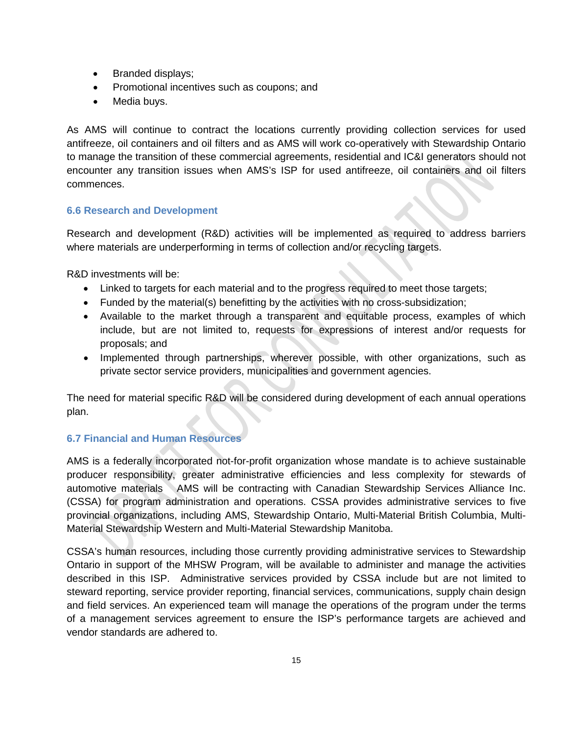- Branded displays;
- Promotional incentives such as coupons; and
- Media buys.

As AMS will continue to contract the locations currently providing collection services for used antifreeze, oil containers and oil filters and as AMS will work co-operatively with Stewardship Ontario to manage the transition of these commercial agreements, residential and IC&I generators should not encounter any transition issues when AMS's ISP for used antifreeze, oil containers and oil filters commences.

#### **6.6 Research and Development**

Research and development (R&D) activities will be implemented as required to address barriers where materials are underperforming in terms of collection and/or recycling targets.

R&D investments will be:

- Linked to targets for each material and to the progress required to meet those targets;
- Funded by the material(s) benefitting by the activities with no cross-subsidization;
- Available to the market through a transparent and equitable process, examples of which include, but are not limited to, requests for expressions of interest and/or requests for proposals; and
- Implemented through partnerships, wherever possible, with other organizations, such as private sector service providers, municipalities and government agencies.

The need for material specific R&D will be considered during development of each annual operations plan.

#### **6.7 Financial and Human Resources**

AMS is a federally incorporated not-for-profit organization whose mandate is to achieve sustainable producer responsibility, greater administrative efficiencies and less complexity for stewards of automotive materials AMS will be contracting with Canadian Stewardship Services Alliance Inc. (CSSA) for program administration and operations. CSSA provides administrative services to five provincial organizations, including AMS, Stewardship Ontario, Multi-Material British Columbia, Multi-Material Stewardship Western and Multi-Material Stewardship Manitoba.

CSSA's human resources, including those currently providing administrative services to Stewardship Ontario in support of the MHSW Program, will be available to administer and manage the activities described in this ISP. Administrative services provided by CSSA include but are not limited to steward reporting, service provider reporting, financial services, communications, supply chain design and field services. An experienced team will manage the operations of the program under the terms of a management services agreement to ensure the ISP's performance targets are achieved and vendor standards are adhered to.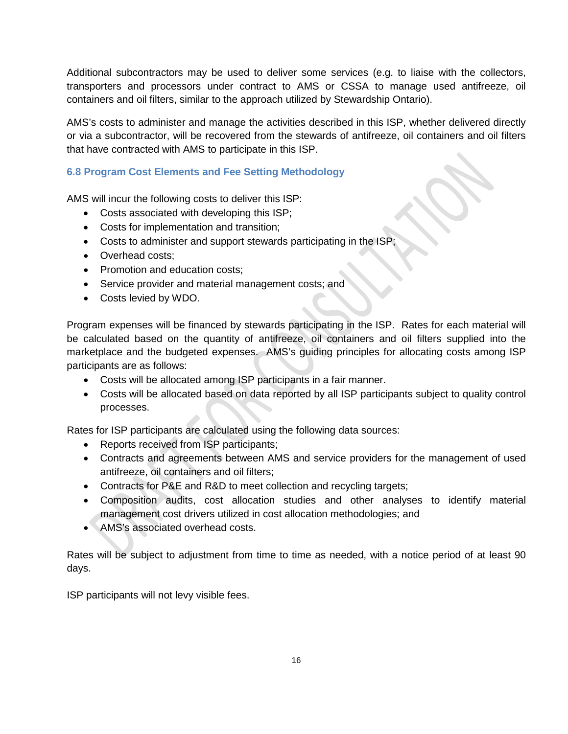Additional subcontractors may be used to deliver some services (e.g. to liaise with the collectors, transporters and processors under contract to AMS or CSSA to manage used antifreeze, oil containers and oil filters, similar to the approach utilized by Stewardship Ontario).

AMS's costs to administer and manage the activities described in this ISP, whether delivered directly or via a subcontractor, will be recovered from the stewards of antifreeze, oil containers and oil filters that have contracted with AMS to participate in this ISP.

#### **6.8 Program Cost Elements and Fee Setting Methodology**

AMS will incur the following costs to deliver this ISP:

- Costs associated with developing this ISP;
- Costs for implementation and transition;
- Costs to administer and support stewards participating in the ISP
- Overhead costs;
- Promotion and education costs;
- Service provider and material management costs; and
- Costs levied by WDO.

Program expenses will be financed by stewards participating in the ISP. Rates for each material will be calculated based on the quantity of antifreeze, oil containers and oil filters supplied into the marketplace and the budgeted expenses. AMS's guiding principles for allocating costs among ISP participants are as follows:

- Costs will be allocated among ISP participants in a fair manner.
- Costs will be allocated based on data reported by all ISP participants subject to quality control processes.

Rates for ISP participants are calculated using the following data sources:

- Reports received from ISP participants;
- Contracts and agreements between AMS and service providers for the management of used antifreeze, oil containers and oil filters;
- Contracts for P&E and R&D to meet collection and recycling targets;
- Composition audits, cost allocation studies and other analyses to identify material management cost drivers utilized in cost allocation methodologies; and
- AMS's associated overhead costs.

Rates will be subject to adjustment from time to time as needed, with a notice period of at least 90 days.

ISP participants will not levy visible fees.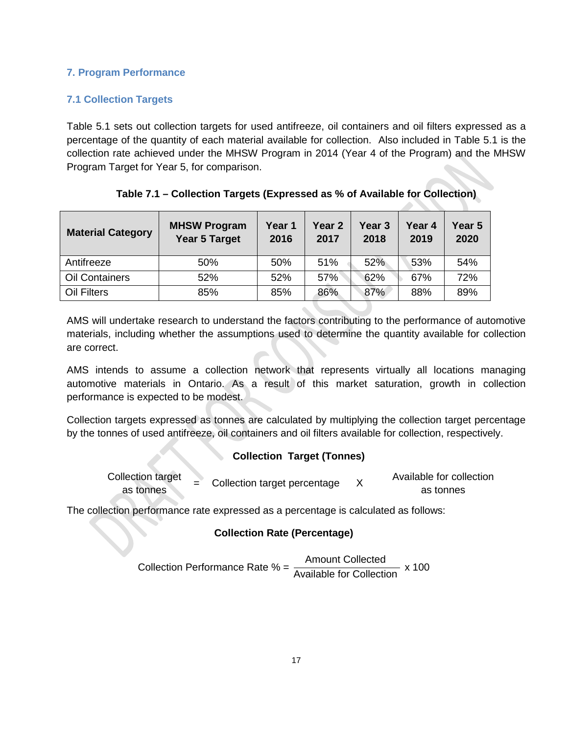#### **7. Program Performance**

#### **7.1 Collection Targets**

Table 5.1 sets out collection targets for used antifreeze, oil containers and oil filters expressed as a percentage of the quantity of each material available for collection. Also included in Table 5.1 is the collection rate achieved under the MHSW Program in 2014 (Year 4 of the Program) and the MHSW Program Target for Year 5, for comparison.

| <b>Material Category</b> | <b>MHSW Program</b><br><b>Year 5 Target</b> | Year 1<br>2016 | Year 2<br>2017 | Year 3<br>2018 | Year 4<br>2019 | Year 5<br>2020 |
|--------------------------|---------------------------------------------|----------------|----------------|----------------|----------------|----------------|
| Antifreeze               | 50%                                         | 50%            | 51%            | 52%            | 53%            | 54%            |
| <b>Oil Containers</b>    | 52%                                         | 52%            | 57%            | 62%            | 67%            | 72%            |
| <b>Oil Filters</b>       | 85%                                         | 85%            | 86%            | 87%            | 88%            | 89%            |

#### **Table 7.1 – Collection Targets (Expressed as % of Available for Collection)**

AMS will undertake research to understand the factors contributing to the performance of automotive materials, including whether the assumptions used to determine the quantity available for collection are correct.

AMS intends to assume a collection network that represents virtually all locations managing automotive materials in Ontario. As a result of this market saturation, growth in collection performance is expected to be modest.

Collection targets expressed as tonnes are calculated by multiplying the collection target percentage by the tonnes of used antifreeze, oil containers and oil filters available for collection, respectively.

#### **Collection Target (Tonnes)**

| <b>Collection target</b> | $=$ Collection target percentage | Available for collection |
|--------------------------|----------------------------------|--------------------------|
| as tonnes                |                                  | as tonnes                |

The collection performance rate expressed as a percentage is calculated as follows:

#### **Collection Rate (Percentage)**

Collection Performance Rate % = 
$$
\frac{\text{Amount Collected}}{\text{Available for Collection}} \times 100
$$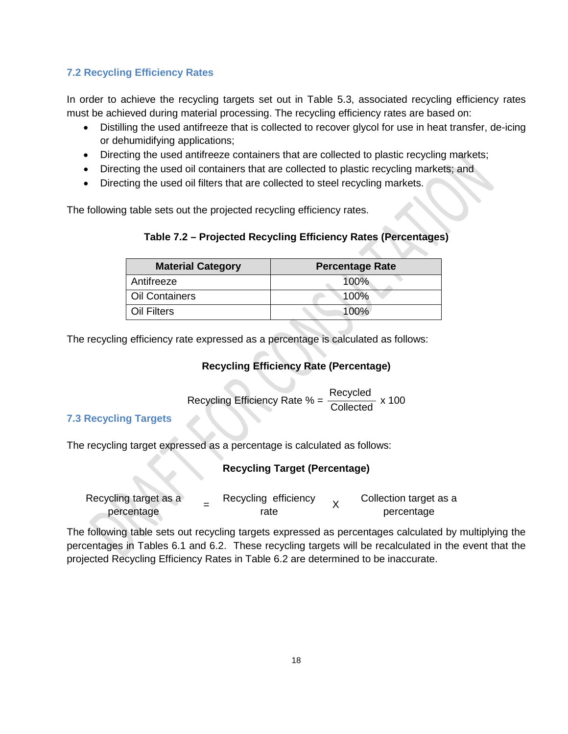#### **7.2 Recycling Efficiency Rates**

In order to achieve the recycling targets set out in Table 5.3, associated recycling efficiency rates must be achieved during material processing. The recycling efficiency rates are based on:

- Distilling the used antifreeze that is collected to recover glycol for use in heat transfer, de-icing or dehumidifying applications;
- Directing the used antifreeze containers that are collected to plastic recycling markets;
- Directing the used oil containers that are collected to plastic recycling markets; and
- Directing the used oil filters that are collected to steel recycling markets.

The following table sets out the projected recycling efficiency rates.

#### **Table 7.2 – Projected Recycling Efficiency Rates (Percentages)**

| <b>Material Category</b> | <b>Percentage Rate</b> |
|--------------------------|------------------------|
| Antifreeze               | 100%                   |
| <b>Oil Containers</b>    | 100%                   |
| Oil Filters              | $100\%$                |

The recycling efficiency rate expressed as a percentage is calculated as follows:

#### **Recycling Efficiency Rate (Percentage)**

Recycling Efficiency Rate % =  $\frac{\text{Recycled}}{\text{Collected}}$  x 100

#### **7.3 Recycling Targets**

The recycling target expressed as a percentage is calculated as follows:

#### **Recycling Target (Percentage)**

| Recycling target as a |  | Recycling efficiency |  | Collection target as a |  |
|-----------------------|--|----------------------|--|------------------------|--|
| percentage            |  | rate                 |  | percentage             |  |

The following table sets out recycling targets expressed as percentages calculated by multiplying the percentages in Tables 6.1 and 6.2. These recycling targets will be recalculated in the event that the projected Recycling Efficiency Rates in Table 6.2 are determined to be inaccurate.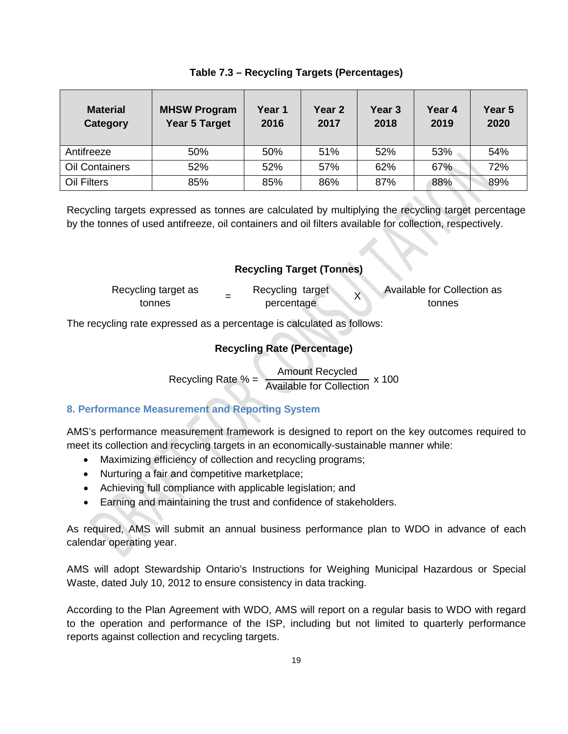| <b>Material</b><br>Category | <b>MHSW Program</b><br><b>Year 5 Target</b> | Year 1<br>2016 | Year 2<br>2017 | Year 3<br>2018 | Year 4<br>2019 | Year <sub>5</sub><br>2020 |
|-----------------------------|---------------------------------------------|----------------|----------------|----------------|----------------|---------------------------|
| Antifreeze                  | 50%                                         | 50%            | 51%            | 52%            | 53%            | 54%                       |
| <b>Oil Containers</b>       | 52%                                         | 52%            | 57%            | 62%            | 67%            | 72%                       |
| Oil Filters                 | 85%                                         | 85%            | 86%            | 87%            | 88%            | 89%                       |

Recycling targets expressed as tonnes are calculated by multiplying the recycling target percentage by the tonnes of used antifreeze, oil containers and oil filters available for collection, respectively.

#### **Recycling Target (Tonnes)** Recycling target as tonnes = Recycling target<br>tonnes = Percentage  $\chi$  Available for Collection as tonnes

The recycling rate expressed as a percentage is calculated as follows:

#### **Recycling Rate (Percentage)**

Recycling Rate  $\% = \frac{\text{Amount Recycle}}{\text{Available for Collection}} \times 100$ 

#### **8. Performance Measurement and Reporting System**

AMS's performance measurement framework is designed to report on the key outcomes required to meet its collection and recycling targets in an economically-sustainable manner while:

- Maximizing efficiency of collection and recycling programs;
- Nurturing a fair and competitive marketplace;
- Achieving full compliance with applicable legislation; and
- Earning and maintaining the trust and confidence of stakeholders.

As required, AMS will submit an annual business performance plan to WDO in advance of each calendar operating year.

AMS will adopt Stewardship Ontario's Instructions for Weighing Municipal Hazardous or Special Waste, dated July 10, 2012 to ensure consistency in data tracking.

According to the Plan Agreement with WDO, AMS will report on a regular basis to WDO with regard to the operation and performance of the ISP, including but not limited to quarterly performance reports against collection and recycling targets.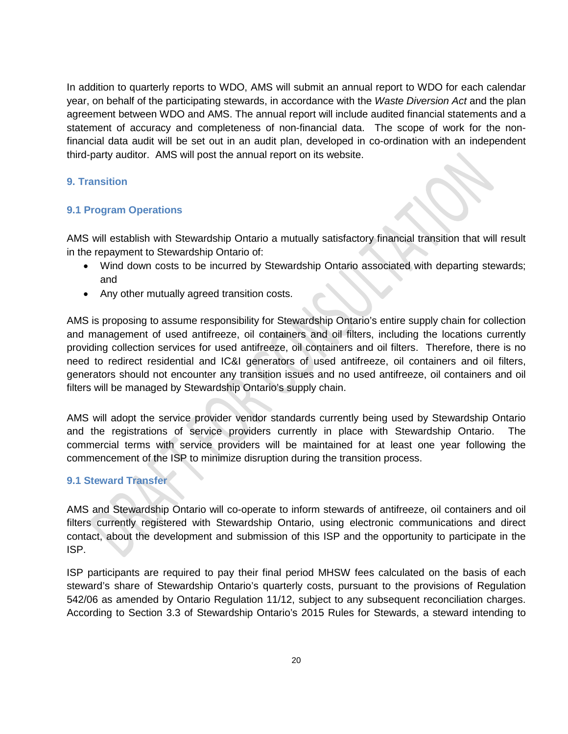In addition to quarterly reports to WDO, AMS will submit an annual report to WDO for each calendar year, on behalf of the participating stewards, in accordance with the *Waste Diversion Act* and the plan agreement between WDO and AMS. The annual report will include audited financial statements and a statement of accuracy and completeness of non-financial data. The scope of work for the nonfinancial data audit will be set out in an audit plan, developed in co-ordination with an independent third-party auditor. AMS will post the annual report on its website.

#### **9. Transition**

#### **9.1 Program Operations**

AMS will establish with Stewardship Ontario a mutually satisfactory financial transition that will result in the repayment to Stewardship Ontario of:

- Wind down costs to be incurred by Stewardship Ontario associated with departing stewards; and
- Any other mutually agreed transition costs.

AMS is proposing to assume responsibility for Stewardship Ontario's entire supply chain for collection and management of used antifreeze, oil containers and oil filters, including the locations currently providing collection services for used antifreeze, oil containers and oil filters. Therefore, there is no need to redirect residential and IC&I generators of used antifreeze, oil containers and oil filters, generators should not encounter any transition issues and no used antifreeze, oil containers and oil filters will be managed by Stewardship Ontario's supply chain.

AMS will adopt the service provider vendor standards currently being used by Stewardship Ontario and the registrations of service providers currently in place with Stewardship Ontario. The commercial terms with service providers will be maintained for at least one year following the commencement of the ISP to minimize disruption during the transition process.

#### **9.1 Steward Transfer**

AMS and Stewardship Ontario will co-operate to inform stewards of antifreeze, oil containers and oil filters currently registered with Stewardship Ontario, using electronic communications and direct contact, about the development and submission of this ISP and the opportunity to participate in the ISP.

ISP participants are required to pay their final period MHSW fees calculated on the basis of each steward's share of Stewardship Ontario's quarterly costs, pursuant to the provisions of Regulation 542/06 as amended by Ontario Regulation 11/12, subject to any subsequent reconciliation charges. According to Section 3.3 of Stewardship Ontario's 2015 Rules for Stewards, a steward intending to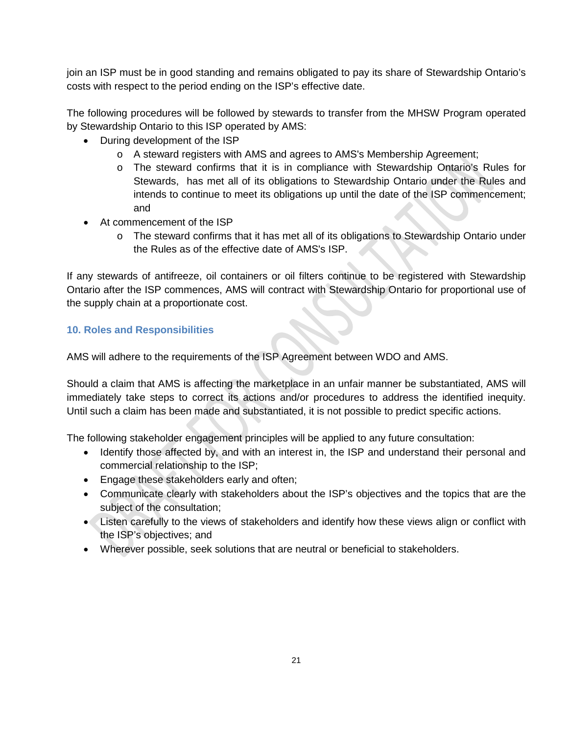join an ISP must be in good standing and remains obligated to pay its share of Stewardship Ontario's costs with respect to the period ending on the ISP's effective date.

The following procedures will be followed by stewards to transfer from the MHSW Program operated by Stewardship Ontario to this ISP operated by AMS:

- During development of the ISP
	- o A steward registers with AMS and agrees to AMS's Membership Agreement;
	- o The steward confirms that it is in compliance with Stewardship Ontario's Rules for Stewards, has met all of its obligations to Stewardship Ontario under the Rules and intends to continue to meet its obligations up until the date of the ISP commencement; and
- At commencement of the ISP
	- o The steward confirms that it has met all of its obligations to Stewardship Ontario under the Rules as of the effective date of AMS's ISP.

If any stewards of antifreeze, oil containers or oil filters continue to be registered with Stewardship Ontario after the ISP commences, AMS will contract with Stewardship Ontario for proportional use of the supply chain at a proportionate cost.

#### **10. Roles and Responsibilities**

AMS will adhere to the requirements of the ISP Agreement between WDO and AMS.

Should a claim that AMS is affecting the marketplace in an unfair manner be substantiated, AMS will immediately take steps to correct its actions and/or procedures to address the identified inequity. Until such a claim has been made and substantiated, it is not possible to predict specific actions.

The following stakeholder engagement principles will be applied to any future consultation:

- Identify those affected by, and with an interest in, the ISP and understand their personal and commercial relationship to the ISP;
- Engage these stakeholders early and often;
- Communicate clearly with stakeholders about the ISP's objectives and the topics that are the subject of the consultation;
- Listen carefully to the views of stakeholders and identify how these views align or conflict with the ISP's objectives; and
- Wherever possible, seek solutions that are neutral or beneficial to stakeholders.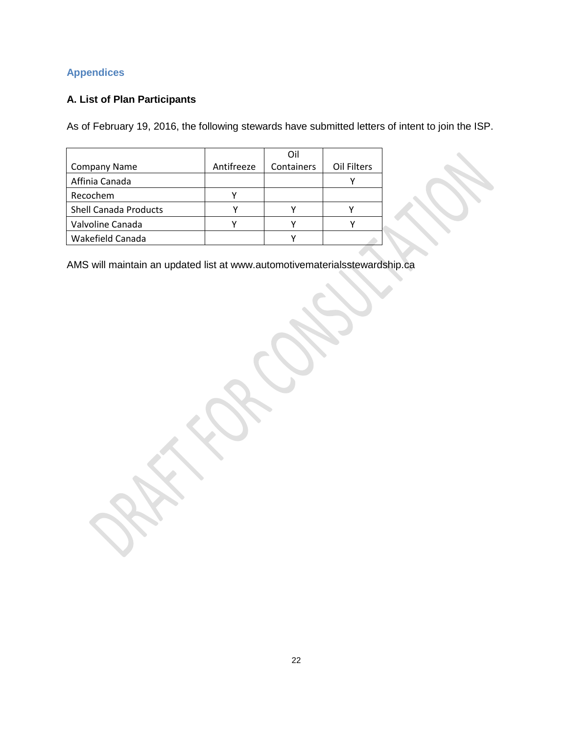#### **Appendices**

#### **A. List of Plan Participants**

As of February 19, 2016, the following stewards have submitted letters of intent to join the ISP.

|                              |            | Oil        |             |
|------------------------------|------------|------------|-------------|
| <b>Company Name</b>          | Antifreeze | Containers | Oil Filters |
| Affinia Canada               |            |            |             |
| Recochem                     |            |            |             |
| <b>Shell Canada Products</b> |            |            |             |
| Valvoline Canada             |            |            |             |
| Wakefield Canada             |            |            |             |

AMS will maintain an updated list at www.automotivematerialsstewardship.ca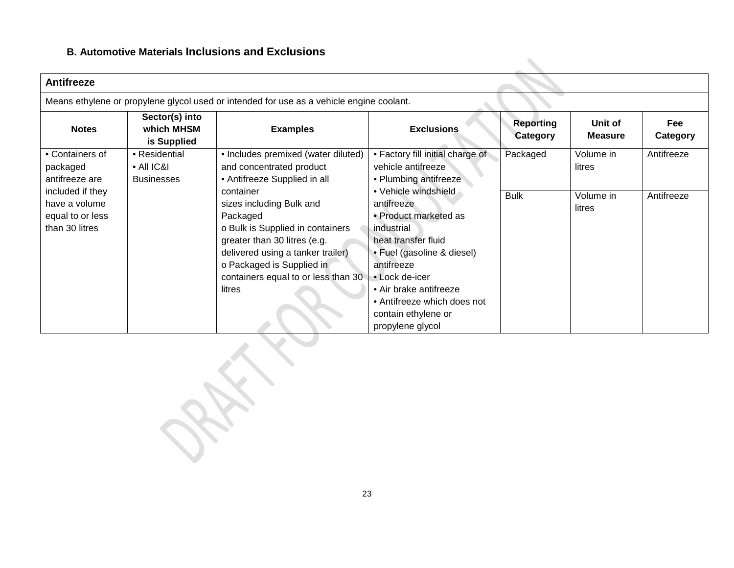#### **B. Automotive Materials Inclusions and Exclusions**

| <b>Antifreeze</b>                                                                         |                                             |                                                                                                                                                                                                                                                                          |                                                                                                                                                                                                                                                                                             |                                     |                           |                        |  |
|-------------------------------------------------------------------------------------------|---------------------------------------------|--------------------------------------------------------------------------------------------------------------------------------------------------------------------------------------------------------------------------------------------------------------------------|---------------------------------------------------------------------------------------------------------------------------------------------------------------------------------------------------------------------------------------------------------------------------------------------|-------------------------------------|---------------------------|------------------------|--|
| Means ethylene or propylene glycol used or intended for use as a vehicle engine coolant.  |                                             |                                                                                                                                                                                                                                                                          |                                                                                                                                                                                                                                                                                             |                                     |                           |                        |  |
| <b>Notes</b>                                                                              | Sector(s) into<br>which MHSM<br>is Supplied | <b>Examples</b>                                                                                                                                                                                                                                                          | <b>Exclusions</b>                                                                                                                                                                                                                                                                           | <b>Reporting</b><br><b>Category</b> | Unit of<br><b>Measure</b> | <b>Fee</b><br>Category |  |
| • Containers of<br>packaged                                                               | • Residential<br>$\bullet$ All IC&I         | • Includes premixed (water diluted)<br>and concentrated product                                                                                                                                                                                                          | • Factory fill initial charge of<br>vehicle antifreeze                                                                                                                                                                                                                                      | Packaged                            | Volume in<br>litres       | Antifreeze             |  |
| antifreeze are<br>included if they<br>have a volume<br>equal to or less<br>than 30 litres | <b>Businesses</b>                           | • Antifreeze Supplied in all<br>container<br>sizes including Bulk and<br>Packaged<br>o Bulk is Supplied in containers<br>greater than 30 litres (e.g.<br>delivered using a tanker trailer)<br>o Packaged is Supplied in<br>containers equal to or less than 30<br>litres | • Plumbing antifreeze<br>• Vehicle windshield<br>antifreeze<br>• Product marketed as<br>industrial<br>heat transfer fluid<br>• Fuel (gasoline & diesel)<br>antifreeze<br>• Lock de-icer<br>• Air brake antifreeze<br>• Antifreeze which does not<br>contain ethylene or<br>propylene glycol | <b>Bulk</b>                         | Volume in<br>litres       | Antifreeze             |  |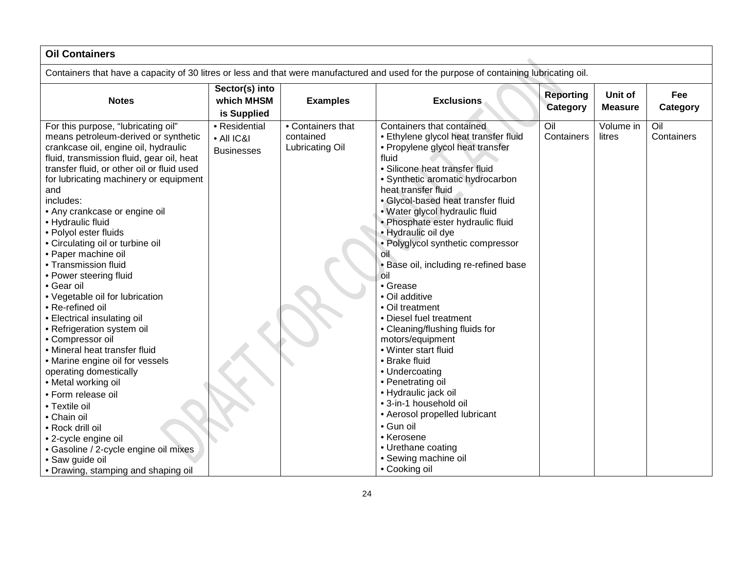| <b>Oil Containers</b>                                                                                                                                                                                                                                                                                                                                                                                                                                                                                                                                                                                                                                                                                                                                                                                                                                                                                                                                    |                                                  |                                                   |                                                                                                                                                                                                                                                                                                                                                                                                                                                                                                                                                                                                                                                                                                                                                                                                                                             |                              |                           |                   |
|----------------------------------------------------------------------------------------------------------------------------------------------------------------------------------------------------------------------------------------------------------------------------------------------------------------------------------------------------------------------------------------------------------------------------------------------------------------------------------------------------------------------------------------------------------------------------------------------------------------------------------------------------------------------------------------------------------------------------------------------------------------------------------------------------------------------------------------------------------------------------------------------------------------------------------------------------------|--------------------------------------------------|---------------------------------------------------|---------------------------------------------------------------------------------------------------------------------------------------------------------------------------------------------------------------------------------------------------------------------------------------------------------------------------------------------------------------------------------------------------------------------------------------------------------------------------------------------------------------------------------------------------------------------------------------------------------------------------------------------------------------------------------------------------------------------------------------------------------------------------------------------------------------------------------------------|------------------------------|---------------------------|-------------------|
| Containers that have a capacity of 30 litres or less and that were manufactured and used for the purpose of containing lubricating oil.                                                                                                                                                                                                                                                                                                                                                                                                                                                                                                                                                                                                                                                                                                                                                                                                                  |                                                  |                                                   |                                                                                                                                                                                                                                                                                                                                                                                                                                                                                                                                                                                                                                                                                                                                                                                                                                             |                              |                           |                   |
| <b>Notes</b>                                                                                                                                                                                                                                                                                                                                                                                                                                                                                                                                                                                                                                                                                                                                                                                                                                                                                                                                             | Sector(s) into<br>which MHSM<br>is Supplied      | <b>Examples</b>                                   | <b>Exclusions</b>                                                                                                                                                                                                                                                                                                                                                                                                                                                                                                                                                                                                                                                                                                                                                                                                                           | <b>Reporting</b><br>Category | Unit of<br><b>Measure</b> | Fee<br>Category   |
| For this purpose, "lubricating oil"<br>means petroleum-derived or synthetic<br>crankcase oil, engine oil, hydraulic<br>fluid, transmission fluid, gear oil, heat<br>transfer fluid, or other oil or fluid used<br>for lubricating machinery or equipment<br>and<br>includes:<br>• Any crankcase or engine oil<br>• Hydraulic fluid<br>• Polyol ester fluids<br>• Circulating oil or turbine oil<br>• Paper machine oil<br>• Transmission fluid<br>• Power steering fluid<br>• Gear oil<br>• Vegetable oil for lubrication<br>• Re-refined oil<br>• Electrical insulating oil<br>• Refrigeration system oil<br>• Compressor oil<br>• Mineral heat transfer fluid<br>• Marine engine oil for vessels<br>operating domestically<br>• Metal working oil<br>• Form release oil<br>• Textile oil<br>• Chain oil<br>• Rock drill oil<br>• 2-cycle engine oil<br>· Gasoline / 2-cycle engine oil mixes<br>• Saw guide oil<br>• Drawing, stamping and shaping oil | • Residential<br>• All IC&I<br><b>Businesses</b> | • Containers that<br>contained<br>Lubricating Oil | Containers that contained<br>• Ethylene glycol heat transfer fluid<br>• Propylene glycol heat transfer<br>fluid<br>· Silicone heat transfer fluid<br>• Synthetic aromatic hydrocarbon<br>heat transfer fluid<br>· Glycol-based heat transfer fluid<br>· Water glycol hydraulic fluid<br>· Phosphate ester hydraulic fluid<br>· Hydraulic oil dye<br>• Polyglycol synthetic compressor<br>0il<br>. Base oil, including re-refined base<br>oil<br>• Grease<br>• Oil additive<br>• Oil treatment<br>• Diesel fuel treatment<br>• Cleaning/flushing fluids for<br>motors/equipment<br>• Winter start fluid<br>• Brake fluid<br>• Undercoating<br>• Penetrating oil<br>· Hydraulic jack oil<br>• 3-in-1 household oil<br>• Aerosol propelled lubricant<br>· Gun oil<br>• Kerosene<br>• Urethane coating<br>• Sewing machine oil<br>• Cooking oil | Oil<br>Containers            | Volume in<br>litres       | Oil<br>Containers |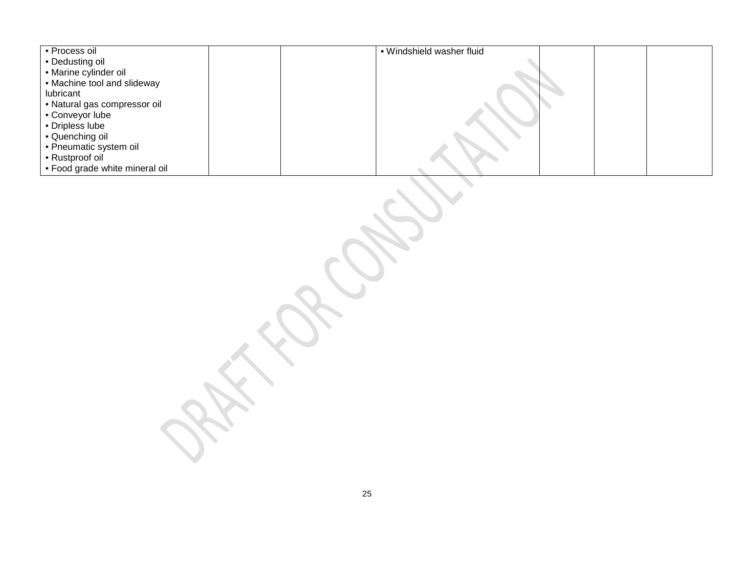| · Process oil                                                           | · Windshield washer fluid |  |  |
|-------------------------------------------------------------------------|---------------------------|--|--|
| • Dedusting oil<br>• Marine cylinder oil<br>• Machine tool and slideway |                           |  |  |
|                                                                         |                           |  |  |
|                                                                         |                           |  |  |
| lubricant                                                               |                           |  |  |
| · Natural gas compressor oil<br>• Conveyor lube                         |                           |  |  |
| • Dripless lube                                                         |                           |  |  |
|                                                                         |                           |  |  |
| • Quenching oil<br>• Pneumatic system oil                               |                           |  |  |
|                                                                         |                           |  |  |
| • Rustproof oil<br>• Food grade white mineral oil                       |                           |  |  |
|                                                                         |                           |  |  |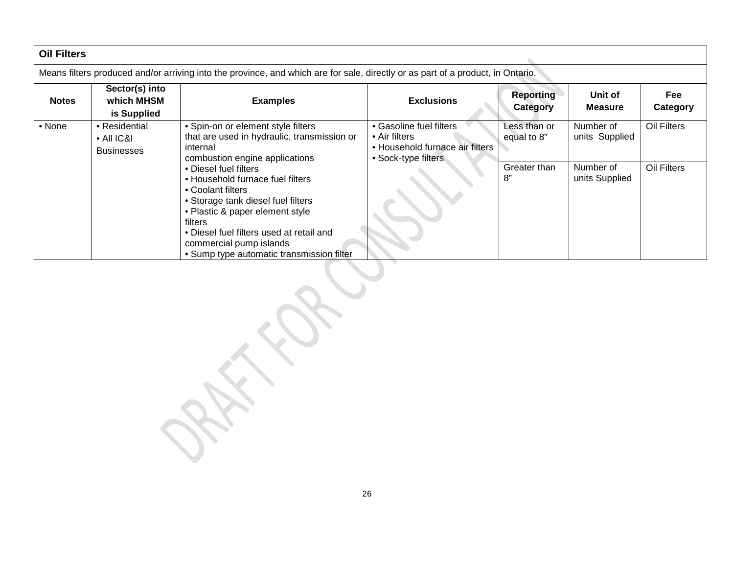| <b>Oil Filters</b>                                                                                                              |                                                          |                                                                                                                                                                                                                                                                                        |                                                                                                    |                              |                             |                 |
|---------------------------------------------------------------------------------------------------------------------------------|----------------------------------------------------------|----------------------------------------------------------------------------------------------------------------------------------------------------------------------------------------------------------------------------------------------------------------------------------------|----------------------------------------------------------------------------------------------------|------------------------------|-----------------------------|-----------------|
| Means filters produced and/or arriving into the province, and which are for sale, directly or as part of a product, in Ontario. |                                                          |                                                                                                                                                                                                                                                                                        |                                                                                                    |                              |                             |                 |
| <b>Notes</b>                                                                                                                    | Sector(s) into<br>which MHSM<br>is Supplied              | <b>Examples</b>                                                                                                                                                                                                                                                                        | <b>Exclusions</b>                                                                                  | <b>Reporting</b><br>Category | Unit of<br><b>Measure</b>   | Fee<br>Category |
| • None                                                                                                                          | • Residential<br>$\bullet$ All IC&I<br><b>Businesses</b> | • Spin-on or element style filters<br>that are used in hydraulic, transmission or<br>internal<br>combustion engine applications                                                                                                                                                        | • Gasoline fuel filters<br>• Air filters<br>• Household furnace air filters<br>• Sock-type filters | Less than or<br>equal to 8"  | Number of<br>units Supplied | Oil Filters     |
|                                                                                                                                 |                                                          | • Diesel fuel filters<br>• Household furnace fuel filters<br>• Coolant filters<br>• Storage tank diesel fuel filters<br>• Plastic & paper element style<br>filters<br>• Diesel fuel filters used at retail and<br>commercial pump islands<br>• Sump type automatic transmission filter |                                                                                                    | Greater than<br>8"           | Number of<br>units Supplied | Oil Filters     |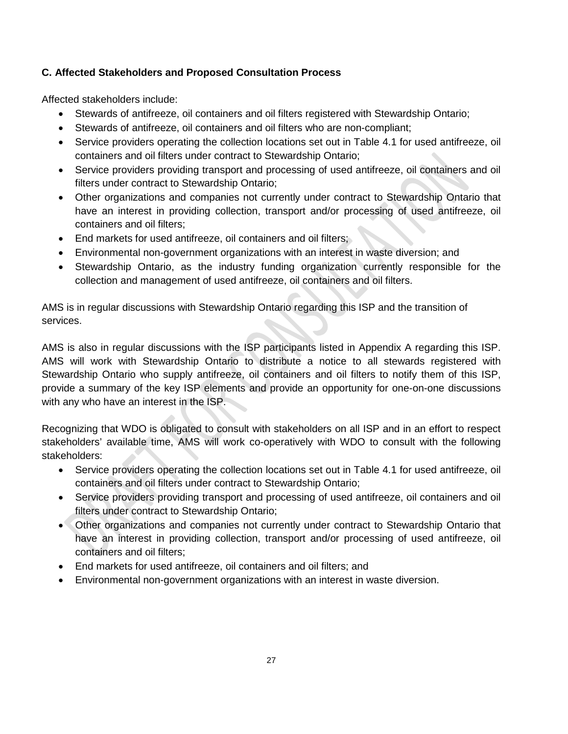#### **C. Affected Stakeholders and Proposed Consultation Process**

Affected stakeholders include:

- Stewards of antifreeze, oil containers and oil filters registered with Stewardship Ontario;
- Stewards of antifreeze, oil containers and oil filters who are non-compliant;
- Service providers operating the collection locations set out in Table 4.1 for used antifreeze, oil containers and oil filters under contract to Stewardship Ontario;
- Service providers providing transport and processing of used antifreeze, oil containers and oil filters under contract to Stewardship Ontario;
- Other organizations and companies not currently under contract to Stewardship Ontario that have an interest in providing collection, transport and/or processing of used antifreeze, oil containers and oil filters;
- End markets for used antifreeze, oil containers and oil filters;
- Environmental non-government organizations with an interest in waste diversion; and
- Stewardship Ontario, as the industry funding organization currently responsible for the collection and management of used antifreeze, oil containers and oil filters.

AMS is in regular discussions with Stewardship Ontario regarding this ISP and the transition of services.

AMS is also in regular discussions with the ISP participants listed in Appendix A regarding this ISP. AMS will work with Stewardship Ontario to distribute a notice to all stewards registered with Stewardship Ontario who supply antifreeze, oil containers and oil filters to notify them of this ISP, provide a summary of the key ISP elements and provide an opportunity for one-on-one discussions with any who have an interest in the ISP.

Recognizing that WDO is obligated to consult with stakeholders on all ISP and in an effort to respect stakeholders' available time, AMS will work co-operatively with WDO to consult with the following stakeholders:

- Service providers operating the collection locations set out in Table 4.1 for used antifreeze, oil containers and oil filters under contract to Stewardship Ontario;
- Service providers providing transport and processing of used antifreeze, oil containers and oil filters under contract to Stewardship Ontario;
- Other organizations and companies not currently under contract to Stewardship Ontario that have an interest in providing collection, transport and/or processing of used antifreeze, oil containers and oil filters;
- End markets for used antifreeze, oil containers and oil filters; and
- Environmental non-government organizations with an interest in waste diversion.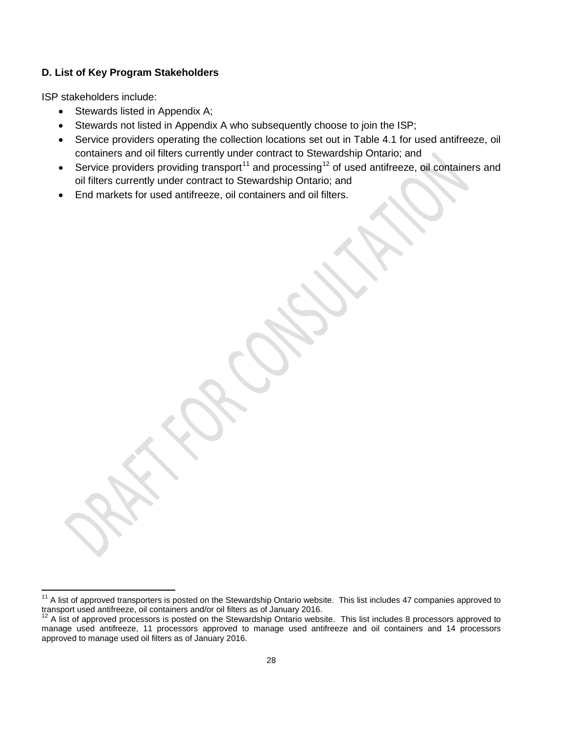#### **D. List of Key Program Stakeholders**

ISP stakeholders include:

- Stewards listed in Appendix A;
- Stewards not listed in Appendix A who subsequently choose to join the ISP;
- Service providers operating the collection locations set out in Table 4.1 for used antifreeze, oil containers and oil filters currently under contract to Stewardship Ontario; and
- Service providers providing transport<sup>[11](#page-30-0)</sup> and processing<sup>[12](#page-30-1)</sup> of used antifreeze, oil containers and oil filters currently under contract to Stewardship Ontario; and
- End markets for used antifreeze, oil containers and oil filters.

<span id="page-30-0"></span><sup>&</sup>lt;sup>11</sup> A list of approved transporters is posted on the Stewardship Ontario website. This list includes 47 companies approved to transport used antifreeze, oil containers and/or oil filters as of January 2016.

<span id="page-30-1"></span><sup>&</sup>lt;sup>12</sup> A list of approved processors is posted on the Stewardship Ontario website. This list includes 8 processors approved to manage used antifreeze, 11 processors approved to manage used antifreeze and oil containers and 14 processors approved to manage used oil filters as of January 2016.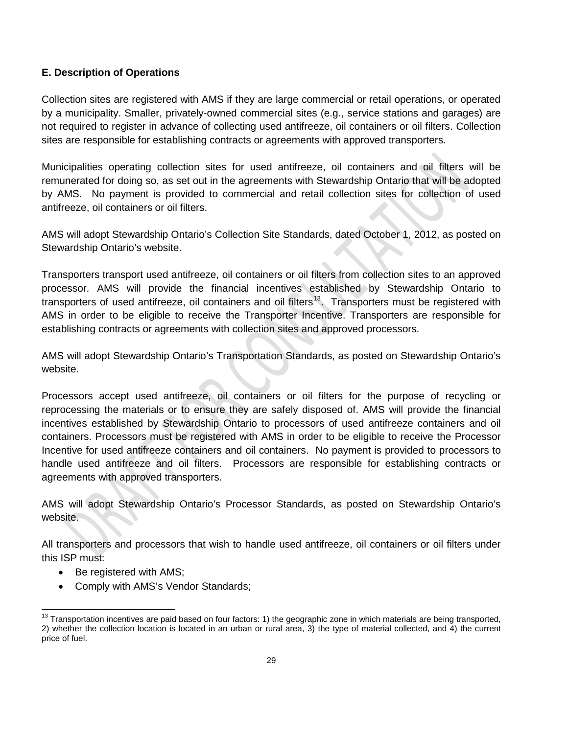#### **E. Description of Operations**

Collection sites are registered with AMS if they are large commercial or retail operations, or operated by a municipality. Smaller, privately-owned commercial sites (e.g., service stations and garages) are not required to register in advance of collecting used antifreeze, oil containers or oil filters. Collection sites are responsible for establishing contracts or agreements with approved transporters.

Municipalities operating collection sites for used antifreeze, oil containers and oil filters will be remunerated for doing so, as set out in the agreements with Stewardship Ontario that will be adopted by AMS. No payment is provided to commercial and retail collection sites for collection of used antifreeze, oil containers or oil filters.

AMS will adopt Stewardship Ontario's Collection Site Standards, dated October 1, 2012, as posted on Stewardship Ontario's website.

Transporters transport used antifreeze, oil containers or oil filters from collection sites to an approved processor. AMS will provide the financial incentives established by Stewardship Ontario to transporters of used antifreeze, oil containers and oil filters<sup>13</sup>. Transporters must be registered with AMS in order to be eligible to receive the Transporter Incentive. Transporters are responsible for establishing contracts or agreements with collection sites and approved processors.

AMS will adopt Stewardship Ontario's Transportation Standards, as posted on Stewardship Ontario's website.

Processors accept used antifreeze, oil containers or oil filters for the purpose of recycling or reprocessing the materials or to ensure they are safely disposed of. AMS will provide the financial incentives established by Stewardship Ontario to processors of used antifreeze containers and oil containers. Processors must be registered with AMS in order to be eligible to receive the Processor Incentive for used antifreeze containers and oil containers. No payment is provided to processors to handle used antifreeze and oil filters. Processors are responsible for establishing contracts or agreements with approved transporters.

AMS will adopt Stewardship Ontario's Processor Standards, as posted on Stewardship Ontario's website.

All transporters and processors that wish to handle used antifreeze, oil containers or oil filters under this ISP must:

- Be registered with AMS;
- Comply with AMS's Vendor Standards;

<span id="page-31-0"></span><sup>&</sup>lt;sup>13</sup> Transportation incentives are paid based on four factors: 1) the geographic zone in which materials are being transported, 2) whether the collection location is located in an urban or rural area, 3) the type of material collected, and 4) the current price of fuel.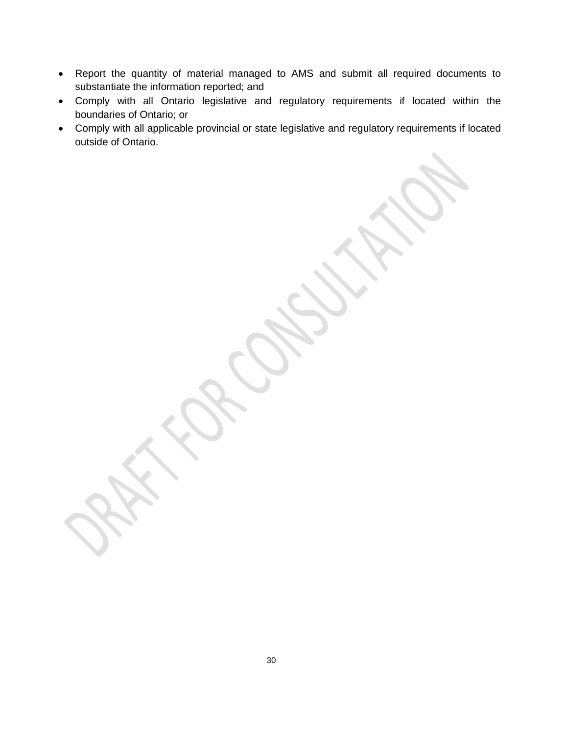- Report the quantity of material managed to AMS and submit all required documents to substantiate the information reported; and
- Comply with all Ontario legislative and regulatory requirements if located within the boundaries of Ontario; or
- Comply with all applicable provincial or state legislative and regulatory requirements if located outside of Ontario.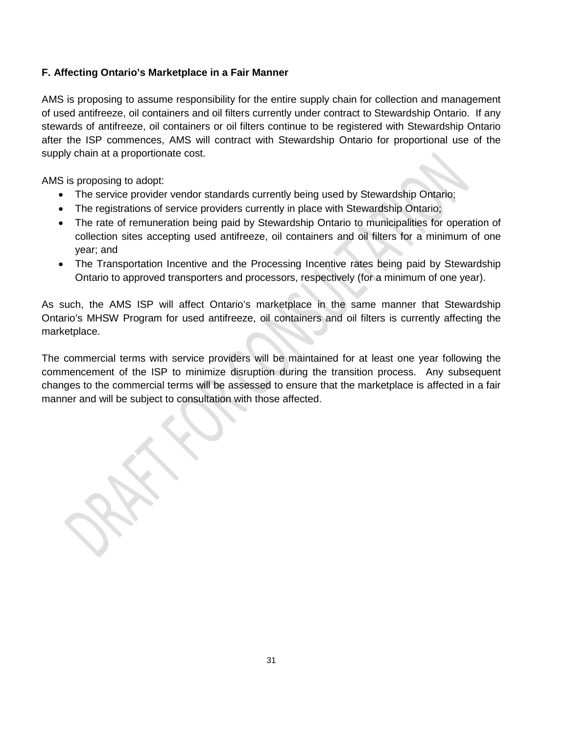#### **F. Affecting Ontario's Marketplace in a Fair Manner**

AMS is proposing to assume responsibility for the entire supply chain for collection and management of used antifreeze, oil containers and oil filters currently under contract to Stewardship Ontario. If any stewards of antifreeze, oil containers or oil filters continue to be registered with Stewardship Ontario after the ISP commences, AMS will contract with Stewardship Ontario for proportional use of the supply chain at a proportionate cost.

AMS is proposing to adopt:

- The service provider vendor standards currently being used by Stewardship Ontario;
- The registrations of service providers currently in place with Stewardship Ontario;
- The rate of remuneration being paid by Stewardship Ontario to municipalities for operation of collection sites accepting used antifreeze, oil containers and oil filters for a minimum of one year; and
- The Transportation Incentive and the Processing Incentive rates being paid by Stewardship Ontario to approved transporters and processors, respectively (for a minimum of one year).

As such, the AMS ISP will affect Ontario's marketplace in the same manner that Stewardship Ontario's MHSW Program for used antifreeze, oil containers and oil filters is currently affecting the marketplace.

The commercial terms with service providers will be maintained for at least one year following the commencement of the ISP to minimize disruption during the transition process. Any subsequent changes to the commercial terms will be assessed to ensure that the marketplace is affected in a fair manner and will be subject to consultation with those affected.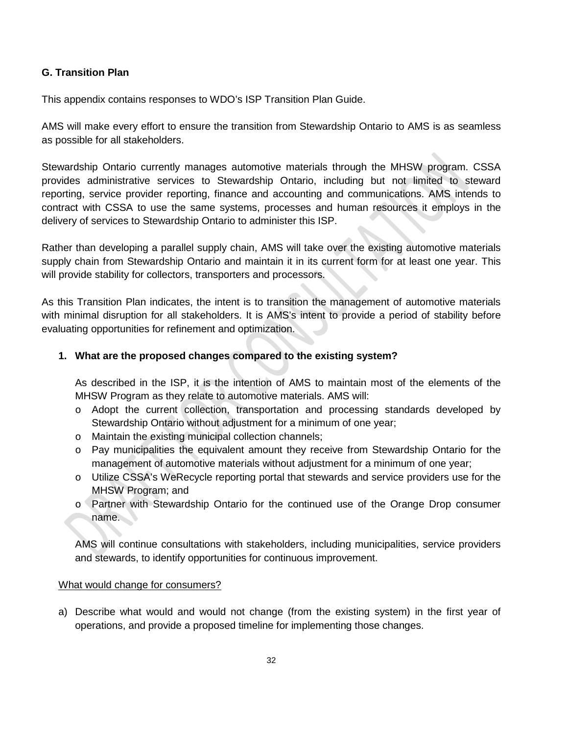#### **G. Transition Plan**

This appendix contains responses to WDO's ISP Transition Plan Guide.

AMS will make every effort to ensure the transition from Stewardship Ontario to AMS is as seamless as possible for all stakeholders.

Stewardship Ontario currently manages automotive materials through the MHSW program. CSSA provides administrative services to Stewardship Ontario, including but not limited to steward reporting, service provider reporting, finance and accounting and communications. AMS intends to contract with CSSA to use the same systems, processes and human resources it employs in the delivery of services to Stewardship Ontario to administer this ISP.

Rather than developing a parallel supply chain, AMS will take over the existing automotive materials supply chain from Stewardship Ontario and maintain it in its current form for at least one year. This will provide stability for collectors, transporters and processors.

As this Transition Plan indicates, the intent is to transition the management of automotive materials with minimal disruption for all stakeholders. It is AMS's intent to provide a period of stability before evaluating opportunities for refinement and optimization.

#### **1. What are the proposed changes compared to the existing system?**

As described in the ISP, it is the intention of AMS to maintain most of the elements of the MHSW Program as they relate to automotive materials. AMS will:

- o Adopt the current collection, transportation and processing standards developed by Stewardship Ontario without adjustment for a minimum of one year;
- o Maintain the existing municipal collection channels;
- o Pay municipalities the equivalent amount they receive from Stewardship Ontario for the management of automotive materials without adjustment for a minimum of one year;
- o Utilize CSSA's WeRecycle reporting portal that stewards and service providers use for the MHSW Program; and
- o Partner with Stewardship Ontario for the continued use of the Orange Drop consumer name.

AMS will continue consultations with stakeholders, including municipalities, service providers and stewards, to identify opportunities for continuous improvement.

#### What would change for consumers?

a) Describe what would and would not change (from the existing system) in the first year of operations, and provide a proposed timeline for implementing those changes.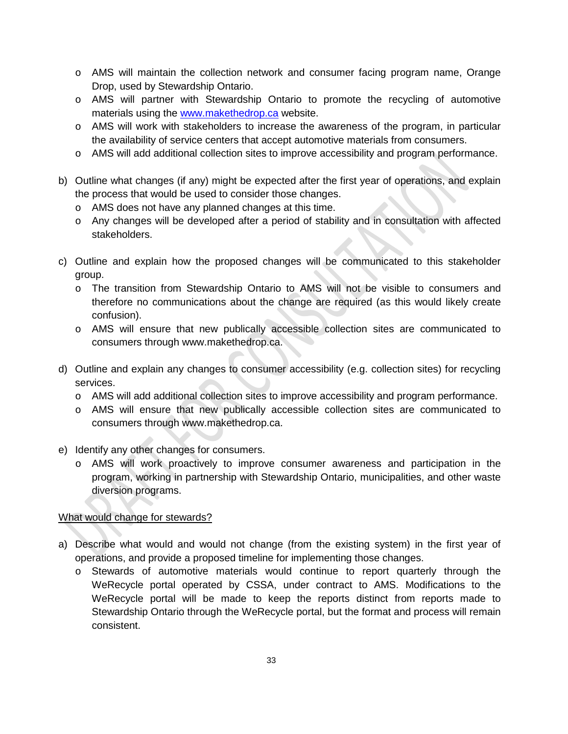- o AMS will maintain the collection network and consumer facing program name, Orange Drop, used by Stewardship Ontario.
- o AMS will partner with Stewardship Ontario to promote the recycling of automotive materials using the [www.makethedrop.ca](http://www.makethedrop.ca/) website.
- o AMS will work with stakeholders to increase the awareness of the program, in particular the availability of service centers that accept automotive materials from consumers.
- o AMS will add additional collection sites to improve accessibility and program performance.
- b) Outline what changes (if any) might be expected after the first year of operations, and explain the process that would be used to consider those changes.
	- o AMS does not have any planned changes at this time.
	- o Any changes will be developed after a period of stability and in consultation with affected stakeholders.
- c) Outline and explain how the proposed changes will be communicated to this stakeholder group.
	- o The transition from Stewardship Ontario to AMS will not be visible to consumers and therefore no communications about the change are required (as this would likely create confusion).
	- o AMS will ensure that new publically accessible collection sites are communicated to consumers through [www.makethedrop.ca.](http://www.makethedrop.ca/)
- d) Outline and explain any changes to consumer accessibility (e.g. collection sites) for recycling services.
	- o AMS will add additional collection sites to improve accessibility and program performance.
	- o AMS will ensure that new publically accessible collection sites are communicated to consumers through [www.makethedrop.ca.](http://www.makethedrop.ca/)
- e) Identify any other changes for consumers.
	- o AMS will work proactively to improve consumer awareness and participation in the program, working in partnership with Stewardship Ontario, municipalities, and other waste diversion programs.

#### What would change for stewards?

- a) Describe what would and would not change (from the existing system) in the first year of operations, and provide a proposed timeline for implementing those changes.
	- o Stewards of automotive materials would continue to report quarterly through the WeRecycle portal operated by CSSA, under contract to AMS. Modifications to the WeRecycle portal will be made to keep the reports distinct from reports made to Stewardship Ontario through the WeRecycle portal, but the format and process will remain consistent.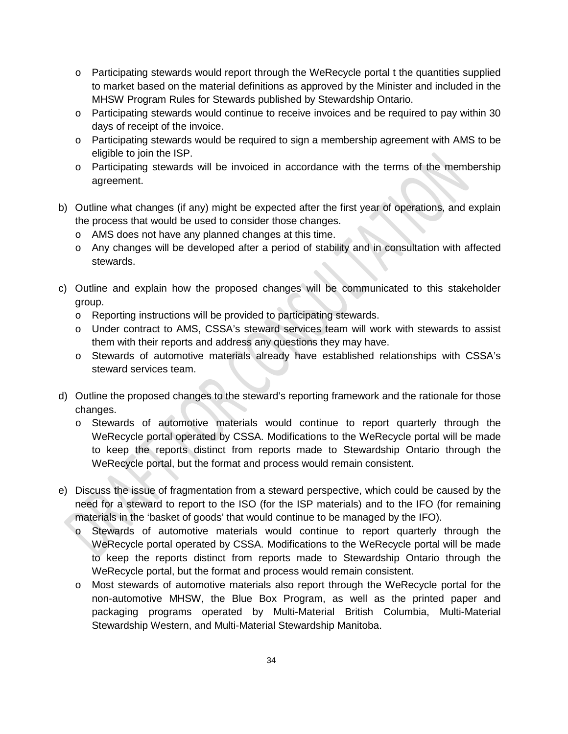- o Participating stewards would report through the WeRecycle portal t the quantities supplied to market based on the material definitions as approved by the Minister and included in the MHSW Program Rules for Stewards published by Stewardship Ontario.
- o Participating stewards would continue to receive invoices and be required to pay within 30 days of receipt of the invoice.
- o Participating stewards would be required to sign a membership agreement with AMS to be eligible to join the ISP.
- o Participating stewards will be invoiced in accordance with the terms of the membership agreement.
- b) Outline what changes (if any) might be expected after the first year of operations, and explain the process that would be used to consider those changes.
	- o AMS does not have any planned changes at this time.
	- o Any changes will be developed after a period of stability and in consultation with affected stewards.
- c) Outline and explain how the proposed changes will be communicated to this stakeholder group.
	- o Reporting instructions will be provided to participating stewards.
	- o Under contract to AMS, CSSA's steward services team will work with stewards to assist them with their reports and address any questions they may have.
	- o Stewards of automotive materials already have established relationships with CSSA's steward services team.
- d) Outline the proposed changes to the steward's reporting framework and the rationale for those changes.
	- o Stewards of automotive materials would continue to report quarterly through the WeRecycle portal operated by CSSA. Modifications to the WeRecycle portal will be made to keep the reports distinct from reports made to Stewardship Ontario through the WeRecycle portal, but the format and process would remain consistent.
- e) Discuss the issue of fragmentation from a steward perspective, which could be caused by the need for a steward to report to the ISO (for the ISP materials) and to the IFO (for remaining materials in the 'basket of goods' that would continue to be managed by the IFO).
	- o Stewards of automotive materials would continue to report quarterly through the WeRecycle portal operated by CSSA. Modifications to the WeRecycle portal will be made to keep the reports distinct from reports made to Stewardship Ontario through the WeRecycle portal, but the format and process would remain consistent.
	- o Most stewards of automotive materials also report through the WeRecycle portal for the non-automotive MHSW, the Blue Box Program, as well as the printed paper and packaging programs operated by Multi-Material British Columbia, Multi-Material Stewardship Western, and Multi-Material Stewardship Manitoba.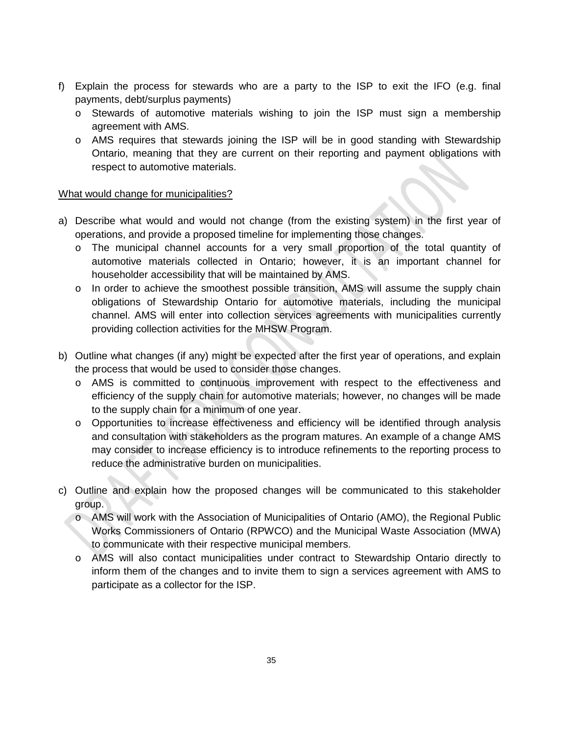- f) Explain the process for stewards who are a party to the ISP to exit the IFO (e.g. final payments, debt/surplus payments)
	- o Stewards of automotive materials wishing to join the ISP must sign a membership agreement with AMS.
	- o AMS requires that stewards joining the ISP will be in good standing with Stewardship Ontario, meaning that they are current on their reporting and payment obligations with respect to automotive materials.

#### What would change for municipalities?

- a) Describe what would and would not change (from the existing system) in the first year of operations, and provide a proposed timeline for implementing those changes.
	- o The municipal channel accounts for a very small proportion of the total quantity of automotive materials collected in Ontario; however, it is an important channel for householder accessibility that will be maintained by AMS.
	- o In order to achieve the smoothest possible transition, AMS will assume the supply chain obligations of Stewardship Ontario for automotive materials, including the municipal channel. AMS will enter into collection services agreements with municipalities currently providing collection activities for the MHSW Program.
- b) Outline what changes (if any) might be expected after the first year of operations, and explain the process that would be used to consider those changes.
	- o AMS is committed to continuous improvement with respect to the effectiveness and efficiency of the supply chain for automotive materials; however, no changes will be made to the supply chain for a minimum of one year.
	- o Opportunities to increase effectiveness and efficiency will be identified through analysis and consultation with stakeholders as the program matures. An example of a change AMS may consider to increase efficiency is to introduce refinements to the reporting process to reduce the administrative burden on municipalities.
- c) Outline and explain how the proposed changes will be communicated to this stakeholder group.
	- o AMS will work with the Association of Municipalities of Ontario (AMO), the Regional Public Works Commissioners of Ontario (RPWCO) and the Municipal Waste Association (MWA) to communicate with their respective municipal members.
	- o AMS will also contact municipalities under contract to Stewardship Ontario directly to inform them of the changes and to invite them to sign a services agreement with AMS to participate as a collector for the ISP.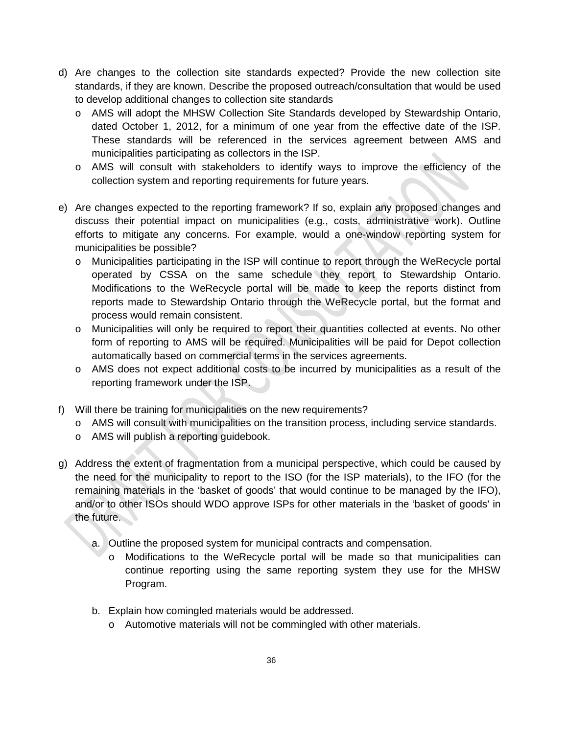- d) Are changes to the collection site standards expected? Provide the new collection site standards, if they are known. Describe the proposed outreach/consultation that would be used to develop additional changes to collection site standards
	- o AMS will adopt the MHSW Collection Site Standards developed by Stewardship Ontario, dated October 1, 2012, for a minimum of one year from the effective date of the ISP. These standards will be referenced in the services agreement between AMS and municipalities participating as collectors in the ISP.
	- o AMS will consult with stakeholders to identify ways to improve the efficiency of the collection system and reporting requirements for future years.
- e) Are changes expected to the reporting framework? If so, explain any proposed changes and discuss their potential impact on municipalities (e.g., costs, administrative work). Outline efforts to mitigate any concerns. For example, would a one-window reporting system for municipalities be possible?
	- o Municipalities participating in the ISP will continue to report through the WeRecycle portal operated by CSSA on the same schedule they report to Stewardship Ontario. Modifications to the WeRecycle portal will be made to keep the reports distinct from reports made to Stewardship Ontario through the WeRecycle portal, but the format and process would remain consistent.
	- o Municipalities will only be required to report their quantities collected at events. No other form of reporting to AMS will be required. Municipalities will be paid for Depot collection automatically based on commercial terms in the services agreements.
	- o AMS does not expect additional costs to be incurred by municipalities as a result of the reporting framework under the ISP.
- f) Will there be training for municipalities on the new requirements?
	- o AMS will consult with municipalities on the transition process, including service standards.
	- o AMS will publish a reporting guidebook.
- g) Address the extent of fragmentation from a municipal perspective, which could be caused by the need for the municipality to report to the ISO (for the ISP materials), to the IFO (for the remaining materials in the 'basket of goods' that would continue to be managed by the IFO), and/or to other ISOs should WDO approve ISPs for other materials in the 'basket of goods' in the future.
	- a. Outline the proposed system for municipal contracts and compensation.
		- o Modifications to the WeRecycle portal will be made so that municipalities can continue reporting using the same reporting system they use for the MHSW Program.
	- b. Explain how comingled materials would be addressed.
		- o Automotive materials will not be commingled with other materials.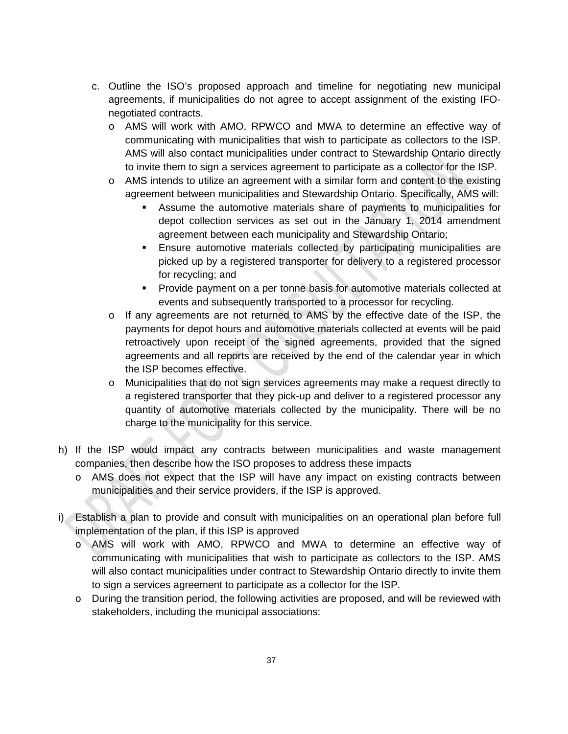- c. Outline the ISO's proposed approach and timeline for negotiating new municipal agreements, if municipalities do not agree to accept assignment of the existing IFOnegotiated contracts.
	- o AMS will work with AMO, RPWCO and MWA to determine an effective way of communicating with municipalities that wish to participate as collectors to the ISP. AMS will also contact municipalities under contract to Stewardship Ontario directly to invite them to sign a services agreement to participate as a collector for the ISP.
	- o AMS intends to utilize an agreement with a similar form and content to the existing agreement between municipalities and Stewardship Ontario. Specifically, AMS will:
		- Assume the automotive materials share of payments to municipalities for depot collection services as set out in the January 1, 2014 amendment agreement between each municipality and Stewardship Ontario;
		- Ensure automotive materials collected by participating municipalities are picked up by a registered transporter for delivery to a registered processor for recycling; and
		- **Provide payment on a per tonne basis for automotive materials collected at** events and subsequently transported to a processor for recycling.
	- o If any agreements are not returned to AMS by the effective date of the ISP, the payments for depot hours and automotive materials collected at events will be paid retroactively upon receipt of the signed agreements, provided that the signed agreements and all reports are received by the end of the calendar year in which the ISP becomes effective.
	- o Municipalities that do not sign services agreements may make a request directly to a registered transporter that they pick-up and deliver to a registered processor any quantity of automotive materials collected by the municipality. There will be no charge to the municipality for this service.
- h) If the ISP would impact any contracts between municipalities and waste management companies, then describe how the ISO proposes to address these impacts
	- o AMS does not expect that the ISP will have any impact on existing contracts between municipalities and their service providers, if the ISP is approved.
- i) Establish a plan to provide and consult with municipalities on an operational plan before full implementation of the plan, if this ISP is approved
	- o AMS will work with AMO, RPWCO and MWA to determine an effective way of communicating with municipalities that wish to participate as collectors to the ISP. AMS will also contact municipalities under contract to Stewardship Ontario directly to invite them to sign a services agreement to participate as a collector for the ISP.
	- o During the transition period, the following activities are proposed, and will be reviewed with stakeholders, including the municipal associations: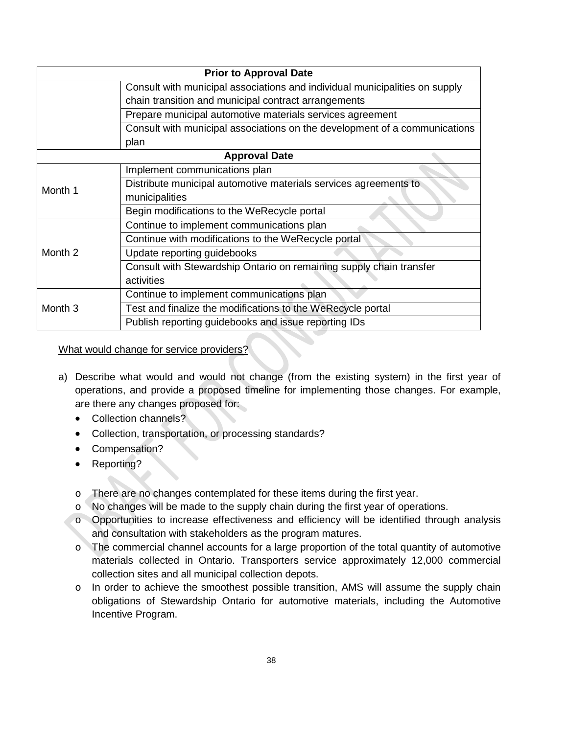| <b>Prior to Approval Date</b>                                              |                                                                             |  |  |  |  |  |
|----------------------------------------------------------------------------|-----------------------------------------------------------------------------|--|--|--|--|--|
|                                                                            | Consult with municipal associations and individual municipalities on supply |  |  |  |  |  |
|                                                                            | chain transition and municipal contract arrangements                        |  |  |  |  |  |
|                                                                            | Prepare municipal automotive materials services agreement                   |  |  |  |  |  |
| Consult with municipal associations on the development of a communications |                                                                             |  |  |  |  |  |
|                                                                            | plan                                                                        |  |  |  |  |  |
| <b>Approval Date</b>                                                       |                                                                             |  |  |  |  |  |
| Month 1                                                                    | Implement communications plan                                               |  |  |  |  |  |
|                                                                            | Distribute municipal automotive materials services agreements to            |  |  |  |  |  |
|                                                                            | municipalities                                                              |  |  |  |  |  |
|                                                                            | Begin modifications to the WeRecycle portal                                 |  |  |  |  |  |
| Month <sub>2</sub>                                                         | Continue to implement communications plan                                   |  |  |  |  |  |
|                                                                            | Continue with modifications to the WeRecycle portal                         |  |  |  |  |  |
|                                                                            | Update reporting guidebooks                                                 |  |  |  |  |  |
|                                                                            | Consult with Stewardship Ontario on remaining supply chain transfer         |  |  |  |  |  |
|                                                                            | activities                                                                  |  |  |  |  |  |
| Month <sub>3</sub>                                                         | Continue to implement communications plan                                   |  |  |  |  |  |
|                                                                            | Test and finalize the modifications to the WeRecycle portal                 |  |  |  |  |  |
|                                                                            | Publish reporting guidebooks and issue reporting IDs                        |  |  |  |  |  |

#### What would change for service providers?

- a) Describe what would and would not change (from the existing system) in the first year of operations, and provide a proposed timeline for implementing those changes. For example, are there any changes proposed for:
	- Collection channels?
	- Collection, transportation, or processing standards?
	- Compensation?
	- Reporting?
	- o There are no changes contemplated for these items during the first year.
	- o No changes will be made to the supply chain during the first year of operations.
	- o Opportunities to increase effectiveness and efficiency will be identified through analysis and consultation with stakeholders as the program matures.
	- o The commercial channel accounts for a large proportion of the total quantity of automotive materials collected in Ontario. Transporters service approximately 12,000 commercial collection sites and all municipal collection depots.
	- o In order to achieve the smoothest possible transition, AMS will assume the supply chain obligations of Stewardship Ontario for automotive materials, including the Automotive Incentive Program.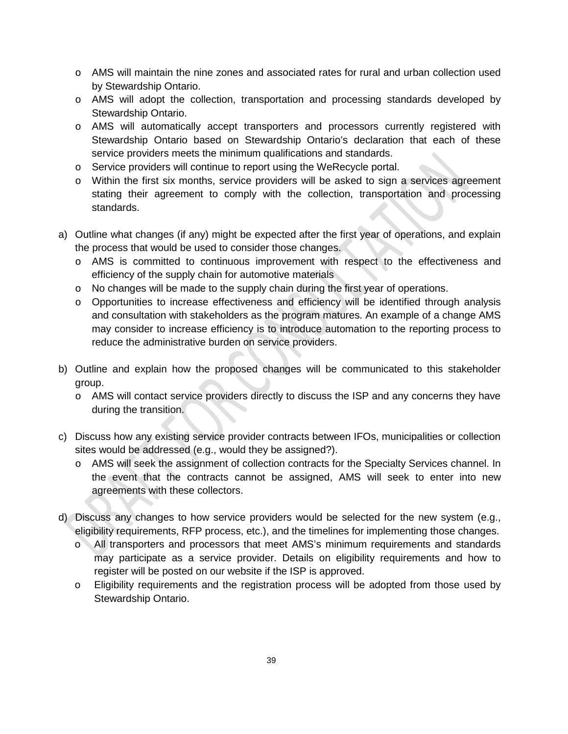- o AMS will maintain the nine zones and associated rates for rural and urban collection used by Stewardship Ontario.
- o AMS will adopt the collection, transportation and processing standards developed by Stewardship Ontario.
- o AMS will automatically accept transporters and processors currently registered with Stewardship Ontario based on Stewardship Ontario's declaration that each of these service providers meets the minimum qualifications and standards.
- o Service providers will continue to report using the WeRecycle portal.
- o Within the first six months, service providers will be asked to sign a services agreement stating their agreement to comply with the collection, transportation and processing standards.
- a) Outline what changes (if any) might be expected after the first year of operations, and explain the process that would be used to consider those changes.
	- o AMS is committed to continuous improvement with respect to the effectiveness and efficiency of the supply chain for automotive materials
	- $\circ$  No changes will be made to the supply chain during the first year of operations.
	- o Opportunities to increase effectiveness and efficiency will be identified through analysis and consultation with stakeholders as the program matures. An example of a change AMS may consider to increase efficiency is to introduce automation to the reporting process to reduce the administrative burden on service providers.
- b) Outline and explain how the proposed changes will be communicated to this stakeholder group.
	- o AMS will contact service providers directly to discuss the ISP and any concerns they have during the transition.
- c) Discuss how any existing service provider contracts between IFOs, municipalities or collection sites would be addressed (e.g., would they be assigned?).
	- o AMS will seek the assignment of collection contracts for the Specialty Services channel. In the event that the contracts cannot be assigned, AMS will seek to enter into new agreements with these collectors.
- d) Discuss any changes to how service providers would be selected for the new system (e.g., eligibility requirements, RFP process, etc.), and the timelines for implementing those changes.
	- o All transporters and processors that meet AMS's minimum requirements and standards may participate as a service provider. Details on eligibility requirements and how to register will be posted on our website if the ISP is approved.
	- o Eligibility requirements and the registration process will be adopted from those used by Stewardship Ontario.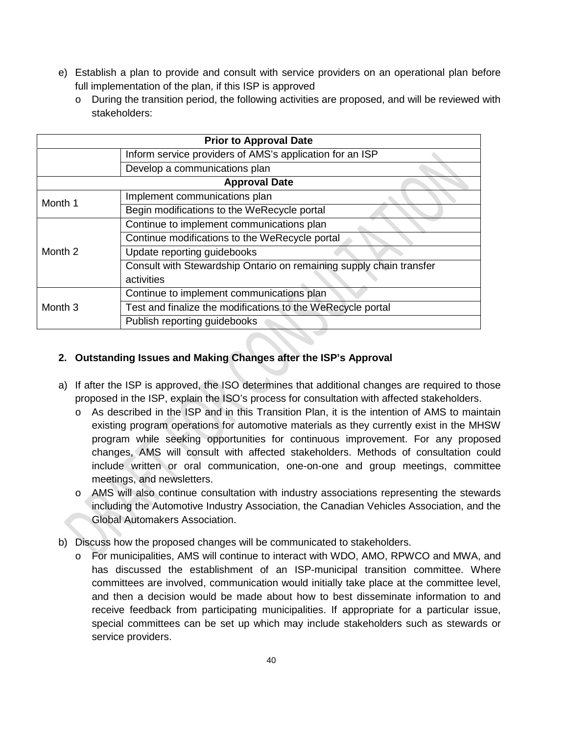- e) Establish a plan to provide and consult with service providers on an operational plan before full implementation of the plan, if this ISP is approved
	- $\circ$  During the transition period, the following activities are proposed, and will be reviewed with stakeholders:

| <b>Prior to Approval Date</b> |                                                                     |  |  |  |
|-------------------------------|---------------------------------------------------------------------|--|--|--|
|                               | Inform service providers of AMS's application for an ISP            |  |  |  |
|                               | Develop a communications plan                                       |  |  |  |
| <b>Approval Date</b>          |                                                                     |  |  |  |
| Month 1                       | Implement communications plan                                       |  |  |  |
|                               | Begin modifications to the WeRecycle portal                         |  |  |  |
| Month 2                       | Continue to implement communications plan                           |  |  |  |
|                               | Continue modifications to the WeRecycle portal                      |  |  |  |
|                               | Update reporting guidebooks                                         |  |  |  |
|                               | Consult with Stewardship Ontario on remaining supply chain transfer |  |  |  |
|                               | activities                                                          |  |  |  |
| Month <sub>3</sub>            | Continue to implement communications plan                           |  |  |  |
|                               | Test and finalize the modifications to the WeRecycle portal         |  |  |  |
|                               | Publish reporting guidebooks                                        |  |  |  |

#### **2. Outstanding Issues and Making Changes after the ISP's Approval**

- a) If after the ISP is approved, the ISO determines that additional changes are required to those proposed in the ISP, explain the ISO's process for consultation with affected stakeholders.
	- o As described in the ISP and in this Transition Plan, it is the intention of AMS to maintain existing program operations for automotive materials as they currently exist in the MHSW program while seeking opportunities for continuous improvement. For any proposed changes, AMS will consult with affected stakeholders. Methods of consultation could include written or oral communication, one-on-one and group meetings, committee meetings, and newsletters.
	- o AMS will also continue consultation with industry associations representing the stewards including the Automotive Industry Association, the Canadian Vehicles Association, and the Global Automakers Association.
- b) Discuss how the proposed changes will be communicated to stakeholders.
	- o For municipalities, AMS will continue to interact with WDO, AMO, RPWCO and MWA, and has discussed the establishment of an ISP-municipal transition committee. Where committees are involved, communication would initially take place at the committee level, and then a decision would be made about how to best disseminate information to and receive feedback from participating municipalities. If appropriate for a particular issue, special committees can be set up which may include stakeholders such as stewards or service providers.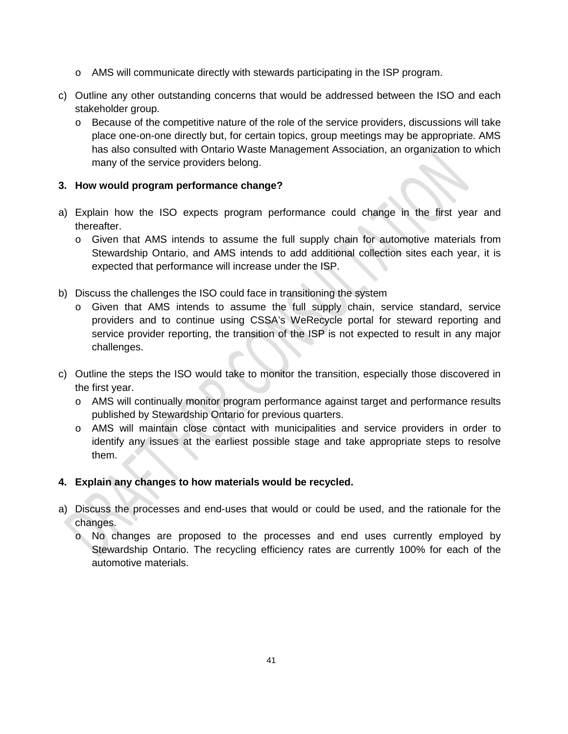- o AMS will communicate directly with stewards participating in the ISP program.
- c) Outline any other outstanding concerns that would be addressed between the ISO and each stakeholder group.
	- o Because of the competitive nature of the role of the service providers, discussions will take place one-on-one directly but, for certain topics, group meetings may be appropriate. AMS has also consulted with Ontario Waste Management Association, an organization to which many of the service providers belong.

#### **3. How would program performance change?**

- a) Explain how the ISO expects program performance could change in the first year and thereafter.
	- o Given that AMS intends to assume the full supply chain for automotive materials from Stewardship Ontario, and AMS intends to add additional collection sites each year, it is expected that performance will increase under the ISP.
- b) Discuss the challenges the ISO could face in transitioning the system
	- o Given that AMS intends to assume the full supply chain, service standard, service providers and to continue using CSSA's WeRecycle portal for steward reporting and service provider reporting, the transition of the ISP is not expected to result in any major challenges.
- c) Outline the steps the ISO would take to monitor the transition, especially those discovered in the first year.
	- o AMS will continually monitor program performance against target and performance results published by Stewardship Ontario for previous quarters.
	- o AMS will maintain close contact with municipalities and service providers in order to identify any issues at the earliest possible stage and take appropriate steps to resolve them.

#### **4. Explain any changes to how materials would be recycled.**

- a) Discuss the processes and end-uses that would or could be used, and the rationale for the changes.
	- o No changes are proposed to the processes and end uses currently employed by Stewardship Ontario. The recycling efficiency rates are currently 100% for each of the automotive materials.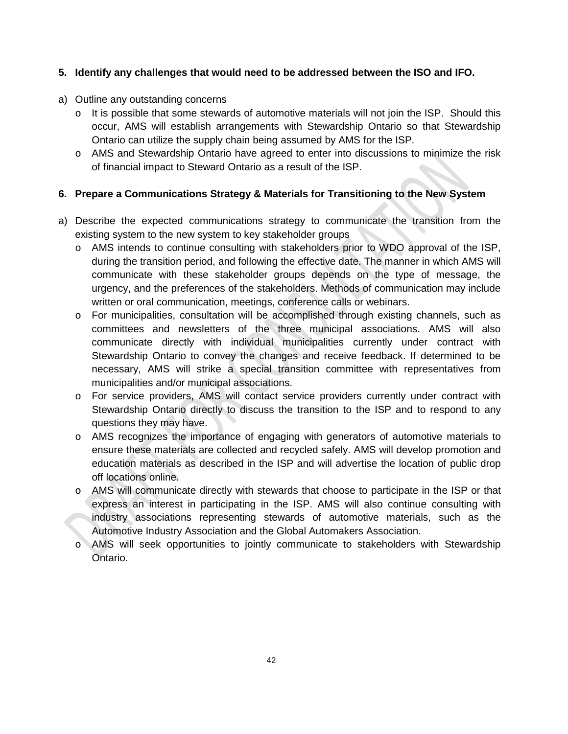#### **5. Identify any challenges that would need to be addressed between the ISO and IFO.**

- a) Outline any outstanding concerns
	- o It is possible that some stewards of automotive materials will not join the ISP. Should this occur, AMS will establish arrangements with Stewardship Ontario so that Stewardship Ontario can utilize the supply chain being assumed by AMS for the ISP.
	- o AMS and Stewardship Ontario have agreed to enter into discussions to minimize the risk of financial impact to Steward Ontario as a result of the ISP.

#### **6. Prepare a Communications Strategy & Materials for Transitioning to the New System**

- a) Describe the expected communications strategy to communicate the transition from the existing system to the new system to key stakeholder groups
	- o AMS intends to continue consulting with stakeholders prior to WDO approval of the ISP, during the transition period, and following the effective date. The manner in which AMS will communicate with these stakeholder groups depends on the type of message, the urgency, and the preferences of the stakeholders. Methods of communication may include written or oral communication, meetings, conference calls or webinars.
	- o For municipalities, consultation will be accomplished through existing channels, such as committees and newsletters of the three municipal associations. AMS will also communicate directly with individual municipalities currently under contract with Stewardship Ontario to convey the changes and receive feedback. If determined to be necessary, AMS will strike a special transition committee with representatives from municipalities and/or municipal associations.
	- o For service providers, AMS will contact service providers currently under contract with Stewardship Ontario directly to discuss the transition to the ISP and to respond to any questions they may have.
	- o AMS recognizes the importance of engaging with generators of automotive materials to ensure these materials are collected and recycled safely. AMS will develop promotion and education materials as described in the ISP and will advertise the location of public drop off locations online.
	- o AMS will communicate directly with stewards that choose to participate in the ISP or that express an interest in participating in the ISP. AMS will also continue consulting with industry associations representing stewards of automotive materials, such as the Automotive Industry Association and the Global Automakers Association.
	- o AMS will seek opportunities to jointly communicate to stakeholders with Stewardship Ontario.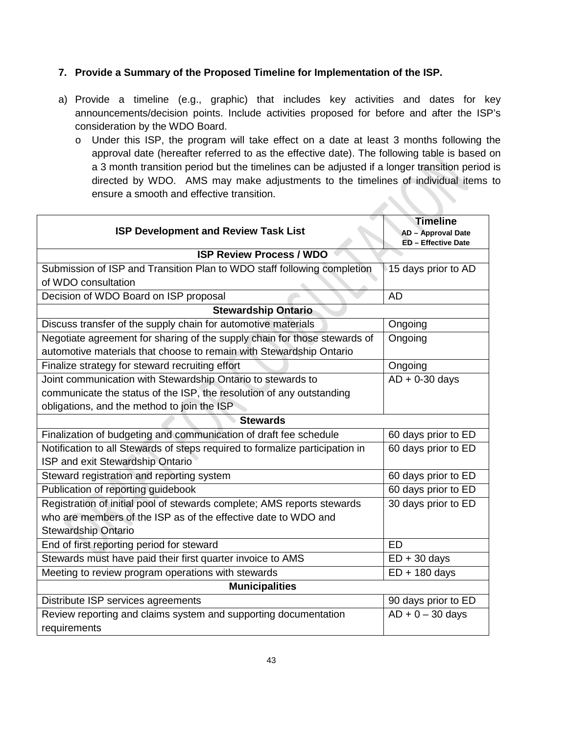#### **7. Provide a Summary of the Proposed Timeline for Implementation of the ISP.**

- a) Provide a timeline (e.g., graphic) that includes key activities and dates for key announcements/decision points. Include activities proposed for before and after the ISP's consideration by the WDO Board.
	- o Under this ISP, the program will take effect on a date at least 3 months following the approval date (hereafter referred to as the effective date). The following table is based on a 3 month transition period but the timelines can be adjusted if a longer transition period is directed by WDO. AMS may make adjustments to the timelines of individual items to ensure a smooth and effective transition.

| <b>ISP Development and Review Task List</b>                                  | <b>Timeline</b><br>AD - Approval Date<br>ED - Effective Date |  |  |  |  |
|------------------------------------------------------------------------------|--------------------------------------------------------------|--|--|--|--|
| <b>ISP Review Process / WDO</b>                                              |                                                              |  |  |  |  |
| Submission of ISP and Transition Plan to WDO staff following completion      | 15 days prior to AD                                          |  |  |  |  |
| of WDO consultation                                                          |                                                              |  |  |  |  |
| Decision of WDO Board on ISP proposal                                        | <b>AD</b>                                                    |  |  |  |  |
| <b>Stewardship Ontario</b>                                                   |                                                              |  |  |  |  |
| Discuss transfer of the supply chain for automotive materials                | Ongoing                                                      |  |  |  |  |
| Negotiate agreement for sharing of the supply chain for those stewards of    | Ongoing                                                      |  |  |  |  |
| automotive materials that choose to remain with Stewardship Ontario          |                                                              |  |  |  |  |
| Finalize strategy for steward recruiting effort                              | Ongoing                                                      |  |  |  |  |
| Joint communication with Stewardship Ontario to stewards to                  | $AD + 0-30$ days                                             |  |  |  |  |
| communicate the status of the ISP, the resolution of any outstanding         |                                                              |  |  |  |  |
| obligations, and the method to join the ISP                                  |                                                              |  |  |  |  |
| <b>Stewards</b>                                                              |                                                              |  |  |  |  |
| Finalization of budgeting and communication of draft fee schedule            | 60 days prior to ED                                          |  |  |  |  |
| Notification to all Stewards of steps required to formalize participation in | 60 days prior to ED                                          |  |  |  |  |
| ISP and exit Stewardship Ontario                                             |                                                              |  |  |  |  |
| Steward registration and reporting system                                    | 60 days prior to ED                                          |  |  |  |  |
| Publication of reporting guidebook                                           | 60 days prior to ED                                          |  |  |  |  |
| Registration of initial pool of stewards complete; AMS reports stewards      | 30 days prior to ED                                          |  |  |  |  |
| who are members of the ISP as of the effective date to WDO and               |                                                              |  |  |  |  |
| <b>Stewardship Ontario</b>                                                   |                                                              |  |  |  |  |
| End of first reporting period for steward                                    | <b>ED</b>                                                    |  |  |  |  |
| Stewards must have paid their first quarter invoice to AMS                   | $ED + 30$ days                                               |  |  |  |  |
| Meeting to review program operations with stewards                           | $ED + 180$ days                                              |  |  |  |  |
| <b>Municipalities</b>                                                        |                                                              |  |  |  |  |
| Distribute ISP services agreements                                           | 90 days prior to ED                                          |  |  |  |  |
| Review reporting and claims system and supporting documentation              | $AD + 0 - 30$ days                                           |  |  |  |  |
| requirements                                                                 |                                                              |  |  |  |  |